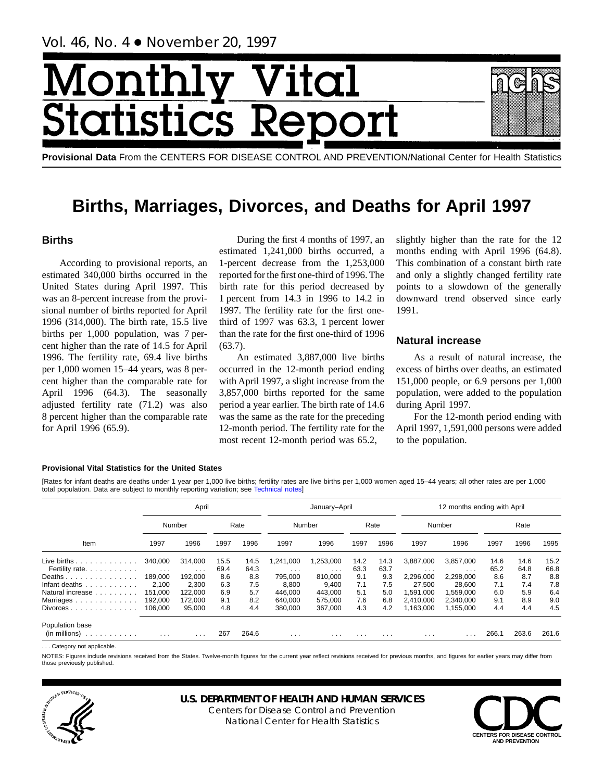# Month **Ital** tatist tics F

**Provisional Data** From the CENTERS FOR DISEASE CONTROL AND PREVENTION/National Center for Health Statistics

# **Births, Marriages, Divorces, and Deaths for April 1997**

# **Births**

According to provisional reports, an estimated 340,000 births occurred in the United States during April 1997. This was an 8-percent increase from the provisional number of births reported for April 1996 (314,000). The birth rate, 15.5 live births per 1,000 population, was 7 percent higher than the rate of 14.5 for April 1996. The fertility rate, 69.4 live births per 1,000 women 15–44 years, was 8 percent higher than the comparable rate for April 1996 (64.3). The seasonally adjusted fertility rate (71.2) was also 8 percent higher than the comparable rate for April 1996 (65.9).

During the first 4 months of 1997, an estimated 1,241,000 births occurred, a 1-percent decrease from the 1,253,000 reported for the first one-third of 1996. The birth rate for this period decreased by 1 percent from 14.3 in 1996 to 14.2 in 1997. The fertility rate for the first onethird of 1997 was 63.3, 1 percent lower than the rate for the first one-third of 1996 (63.7).

An estimated 3,887,000 live births occurred in the 12-month period ending with April 1997, a slight increase from the 3,857,000 births reported for the same period a year earlier. The birth rate of 14.6 was the same as the rate for the preceding 12-month period. The fertility rate for the most recent 12-month period was 65.2,

slightly higher than the rate for the 12 months ending with April 1996 (64.8). This combination of a constant birth rate and only a slightly changed fertility rate points to a slowdown of the generally downward trend observed since early 1991.

# **Natural increase**

As a result of natural increase, the excess of births over deaths, an estimated 151,000 people, or 6.9 persons per 1,000 population, were added to the population during April 1997.

For the 12-month period ending with April 1997, 1,591,000 persons were added to the population.

# **Provisional Vital Statistics for the United States**

[Rates for infant deaths are deaths under 1 year per 1,000 live b[irths; fertility rates are l](#page-16-0)ive births per 1,000 women aged 15–44 years; all other rates are per 1,000 total population. Data are subject to monthly reporting variation; see Technical notes]

|                                                                                                                                                                                                                                                                                         |          | April    |      |       |          | January-April           |          |          |           | 12 months ending with April |      |       |       |
|-----------------------------------------------------------------------------------------------------------------------------------------------------------------------------------------------------------------------------------------------------------------------------------------|----------|----------|------|-------|----------|-------------------------|----------|----------|-----------|-----------------------------|------|-------|-------|
| Number                                                                                                                                                                                                                                                                                  |          |          |      | Rate  |          | Number                  |          | Rate     |           | Number                      |      | Rate  |       |
| Item                                                                                                                                                                                                                                                                                    | 1997     | 1996     | 1997 | 1996  | 1997     | 1996                    | 1997     | 1996     | 1997      | 1996                        | 1997 | 1996  | 1995  |
| Live births $\ldots$ , $\ldots$ , $\ldots$                                                                                                                                                                                                                                              | 340,000  | 314,000  | 15.5 | 14.5  | ,241,000 | 1,253,000               | 14.2     | 14.3     | 3,887,000 | 3,857,000                   | 14.6 | 14.6  | 15.2  |
| Fertility rate.                                                                                                                                                                                                                                                                         | $\cdots$ | $\cdots$ | 69.4 | 64.3  | $\cdots$ | $\cdot$ $\cdot$ $\cdot$ | 63.3     | 63.7     | $\cdots$  | $\cdot$ $\cdot$ $\cdot$     | 65.2 | 64.8  | 66.8  |
| Deaths                                                                                                                                                                                                                                                                                  | 189,000  | 192.000  | 8.6  | 8.8   | 795.000  | 810.000                 | 9.1      | 9.3      | 2,296,000 | 2,298,000                   | 8.6  | 8.7   | 8.8   |
| Infant deaths                                                                                                                                                                                                                                                                           | 2.100    | 2.300    | 6.3  | 7.5   | 8.800    | 9.400                   | 7.1      | 7.5      | 27.500    | 28.600                      | 7.1  | 7.4   | 7.8   |
| Natural increase                                                                                                                                                                                                                                                                        | 151.000  | 122.000  | 6.9  | 5.7   | 446.000  | 443.000                 | 5.1      | 5.0      | 1.591.000 | 1,559,000                   | 6.0  | 5.9   | 6.4   |
| Marriages.<br>$\mathcal{L}^{\mathcal{A}}(\mathcal{A}^{\mathcal{A}}(\mathcal{A}^{\mathcal{A}}(\mathcal{A}^{\mathcal{A}}(\mathcal{A}^{\mathcal{A}}(\mathcal{A}^{\mathcal{A}}(\mathcal{A}^{\mathcal{A}}(\mathcal{A}^{\mathcal{A}}(\mathcal{A}^{\mathcal{A}}(\mathcal{A}^{\mathcal{A}}))))$ | 192,000  | 172.000  | 9.1  | 8.2   | 640.000  | 575.000                 | 7.6      | 6.8      | 2,410,000 | 2.340.000                   | 9.1  | 8.9   | 9.0   |
| Divorces.<br>.                                                                                                                                                                                                                                                                          | 106.000  | 95.000   | 4.8  | 4.4   | 380.000  | 367.000                 | 4.3      | 4.2      | 1,163,000 | 1.155.000                   | 4.4  | 4.4   | 4.5   |
| Population base                                                                                                                                                                                                                                                                         |          |          |      |       |          |                         |          |          |           |                             |      |       |       |
| (in millions)<br>.                                                                                                                                                                                                                                                                      | $\cdots$ | .        | 267  | 264.6 | $\cdots$ | $\cdot$ $\cdot$ $\cdot$ | $\cdots$ | $\cdots$ | $\cdots$  | $\cdot$ $\cdot$ $\cdot$     | 266. | 263.6 | 261.6 |

. . . Category not applicable.

NOTES: Figures include revisions received from the States. Twelve-month figures for the current year reflect revisions received for previous months, and figures for earlier years may differ from those previously published.



# **U.S. DEPARTMENT OF HEALTH AND HUMAN SERVICES**

Centers for Disease Control and Prevention National Center for Health Statistics

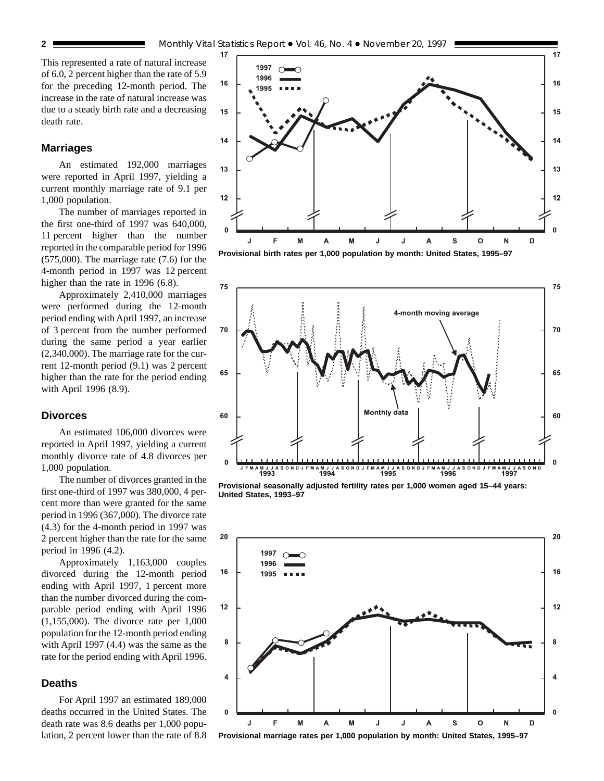This represented a rate of natural increase of 6.0, 2 percent higher than the rate of 5.9 for the preceding 12-month period. The increase in the rate of natural increase was due to a steady birth rate and a decreasing death rate.

# **Marriages**

An estimated 192,000 marriages were reported in April 1997, yielding a current monthly marriage rate of 9.1 per 1,000 population.

The number of marriages reported in the first one-third of 1997 was 640,000, 11 percent higher than the number reported in the comparable period for 1996 (575,000). The marriage rate (7.6) for the 4-month period in 1997 was 12 percent higher than the rate in 1996 (6.8).

Approximately 2,410,000 marriages were performed during the 12-month period ending with April 1997, an increase of 3 percent from the number performed during the same period a year earlier (2,340,000). The marriage rate for the current 12-month period (9.1) was 2 percent higher than the rate for the period ending with April 1996 (8.9).

## **Divorces**

An estimated 106,000 divorces were reported in April 1997, yielding a current monthly divorce rate of 4.8 divorces per 1,000 population.

The number of divorces granted in the first one-third of 1997 was 380,000, 4 percent more than were granted for the same period in 1996 (367,000). The divorce rate (4.3) for the 4-month period in 1997 was 2 percent higher than the rate for the same period in 1996 (4.2).

Approximately 1,163,000 couples divorced during the 12-month period ending with April 1997, 1 percent more than the number divorced during the comparable period ending with April 1996 (1,155,000). The divorce rate per 1,000 population for the 12-month period ending with April 1997 (4.4) was the same as the rate for the period ending with April 1996.

# **Deaths**

For April 1997 an estimated 189,000 deaths occurred in the United States. The death rate was 8.6 deaths per 1,000 population, 2 percent lower than the rate of 8.8



**Provisional birth rates per 1,000 population by month: United States, 1995–97**



**Provisional seasonally adjusted fertility rates per 1,000 women aged 15–44 years: United States, 1993–97**



**Provisional marriage rates per 1,000 population by month: United States, 1995–97**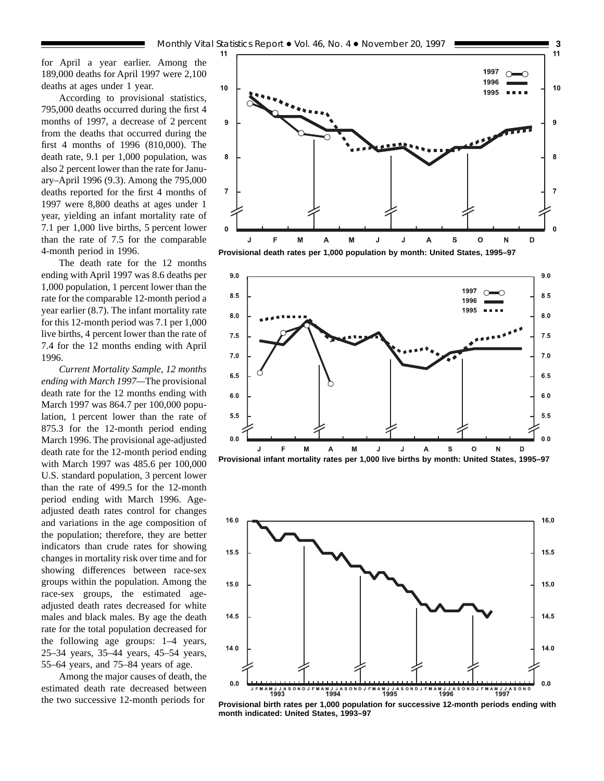for April a year earlier. Among the 189,000 deaths for April 1997 were 2,100 deaths at ages under 1 year.

According to provisional statistics, 795,000 deaths occurred during the first 4 months of 1997, a decrease of 2 percent from the deaths that occurred during the first 4 months of 1996 (810,000). The death rate, 9.1 per 1,000 population, was also 2 percent lower than the rate for January–April 1996 (9.3). Among the 795,000 deaths reported for the first 4 months of 1997 were 8,800 deaths at ages under 1 year, yielding an infant mortality rate of 7.1 per 1,000 live births, 5 percent lower than the rate of 7.5 for the comparable 4-month period in 1996.

The death rate for the 12 months ending with April 1997 was 8.6 deaths per 1,000 population, 1 percent lower than the rate for the comparable 12-month period a year earlier (8.7). The infant mortality rate for this 12-month period was 7.1 per 1,000 live births, 4 percent lower than the rate of 7.4 for the 12 months ending with April 1996.

*Current Mortality Sample, 12 months ending with March 1997—*The provisional death rate for the 12 months ending with March 1997 was 864.7 per 100,000 population, 1 percent lower than the rate of 875.3 for the 12-month period ending March 1996. The provisional age-adjusted death rate for the 12-month period ending with March 1997 was 485.6 per 100,000 U.S. standard population, 3 percent lower than the rate of 499.5 for the 12-month period ending with March 1996. Ageadjusted death rates control for changes and variations in the age composition of the population; therefore, they are better indicators than crude rates for showing changes in mortality risk over time and for showing differences between race-sex groups within the population. Among the race-sex groups, the estimated ageadjusted death rates decreased for white males and black males. By age the death rate for the total population decreased for the following age groups: 1–4 years, 25–34 years, 35–44 years, 45–54 years, 55–64 years, and 75–84 years of age.

Among the major causes of death, the estimated death rate decreased between the two successive 12-month periods for



**Provisional death rates per 1,000 population by month: United States, 1995–97**







**Provisional birth rates per 1,000 population for successive 12-month periods ending with month indicated: United States, 1993–97**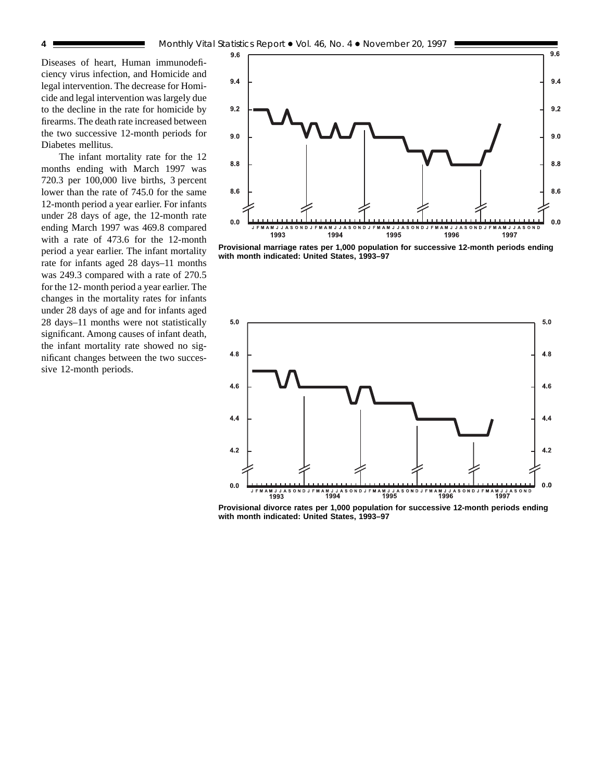Diseases of heart, Human immunodeficiency virus infection, and Homicide and legal intervention. The decrease for Homicide and legal intervention was largely due to the decline in the rate for homicide by firearms. The death rate increased between the two successive 12-month periods for Diabetes mellitus.

The infant mortality rate for the 12 months ending with March 1997 was 720.3 per 100,000 live births, 3 percent lower than the rate of 745.0 for the same 12-month period a year earlier. For infants under 28 days of age, the 12-month rate ending March 1997 was 469.8 compared with a rate of 473.6 for the 12-month period a year earlier. The infant mortality rate for infants aged 28 days–11 months was 249.3 compared with a rate of 270.5 for the 12- month period a year earlier. The changes in the mortality rates for infants under 28 days of age and for infants aged 28 days–11 months were not statistically significant. Among causes of infant death, the infant mortality rate showed no significant changes between the two successive 12-month periods.



**Provisional marriage rates per 1,000 population for successive 12-month periods ending with month indicated: United States, 1993–97**



**Provisional divorce rates per 1,000 population for successive 12-month periods ending with month indicated: United States, 1993–97**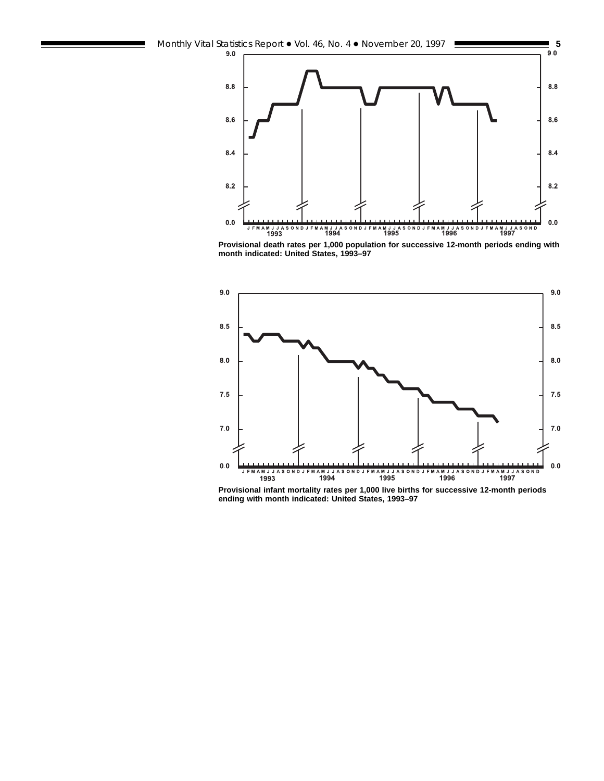

**Provisional death rates per 1,000 population for successive 12-month periods ending with month indicated: United States, 1993–97**



**Provisional infant mortality rates per 1,000 live births for successive 12-month periods ending with month indicated: United States, 1993–97**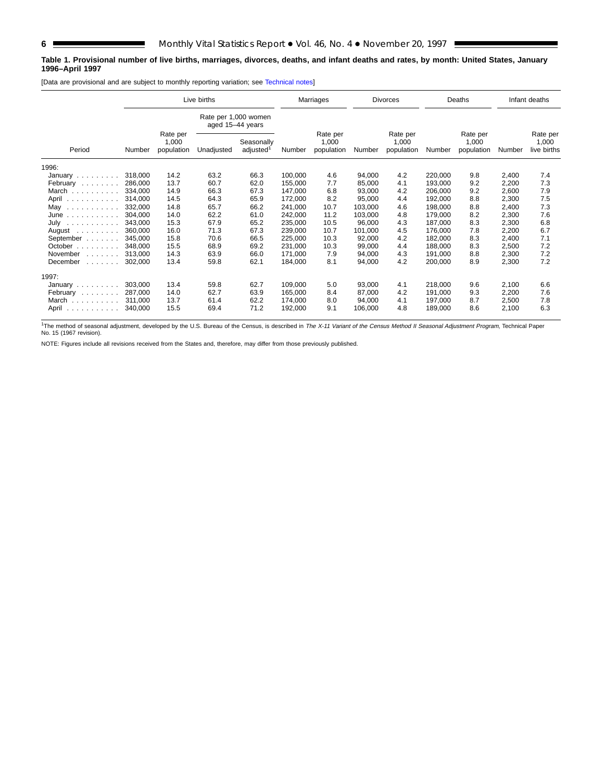# **Table 1. Provisional number of live births, marriages, divorces, deaths, and infant deaths and rates, by month: United States, January 1996–April 1997**

[Data are provisional and are subject to monthly reporting variation; see [Technical notes\]](#page-16-0)

|                                |         | Live births                     |                  |                                     |         | Marriages                       |         | <b>Divorces</b>                 |         | Deaths                          |        | Infant deaths                    |
|--------------------------------|---------|---------------------------------|------------------|-------------------------------------|---------|---------------------------------|---------|---------------------------------|---------|---------------------------------|--------|----------------------------------|
|                                |         |                                 | aged 15-44 years | Rate per 1,000 women                |         |                                 |         |                                 |         |                                 |        |                                  |
| Period                         | Number  | Rate per<br>1,000<br>population | Unadjusted       | Seasonally<br>adjusted <sup>1</sup> | Number  | Rate per<br>1,000<br>population | Number  | Rate per<br>1,000<br>population | Number  | Rate per<br>1,000<br>population | Number | Rate per<br>1,000<br>live births |
| 1996:                          |         |                                 |                  |                                     |         |                                 |         |                                 |         |                                 |        |                                  |
| January $\ldots \ldots$        | 318,000 | 14.2                            | 63.2             | 66.3                                | 100,000 | 4.6                             | 94,000  | 4.2                             | 220,000 | 9.8                             | 2,400  | 7.4                              |
| February                       | 286,000 | 13.7                            | 60.7             | 62.0                                | 155,000 | 7.7                             | 85,000  | 4.1                             | 193,000 | 9.2                             | 2,200  | 7.3                              |
| March                          | 334,000 | 14.9                            | 66.3             | 67.3                                | 147,000 | 6.8                             | 93,000  | 4.2                             | 206,000 | 9.2                             | 2,600  | 7.9                              |
| April                          | 314,000 | 14.5                            | 64.3             | 65.9                                | 172,000 | 8.2                             | 95,000  | 4.4                             | 192,000 | 8.8                             | 2,300  | 7.5                              |
| May<br>.                       | 332,000 | 14.8                            | 65.7             | 66.2                                | 241,000 | 10.7                            | 103,000 | 4.6                             | 198,000 | 8.8                             | 2,400  | 7.3                              |
| $June \dots \dots \dots \dots$ | 304,000 | 14.0                            | 62.2             | 61.0                                | 242,000 | 11.2                            | 103,000 | 4.8                             | 179,000 | 8.2                             | 2,300  | 7.6                              |
| July<br>.                      | 343.000 | 15.3                            | 67.9             | 65.2                                | 235,000 | 10.5                            | 96,000  | 4.3                             | 187,000 | 8.3                             | 2,300  | 6.8                              |
| August $\ldots$ , $\ldots$     | 360.000 | 16.0                            | 71.3             | 67.3                                | 239,000 | 10.7                            | 101,000 | 4.5                             | 176,000 | 7.8                             | 2,200  | 6.7                              |
| September                      | 345.000 | 15.8                            | 70.6             | 66.5                                | 225,000 | 10.3                            | 92,000  | 4.2                             | 182,000 | 8.3                             | 2,400  | 7.1                              |
| October $\ldots$               | 348.000 | 15.5                            | 68.9             | 69.2                                | 231,000 | 10.3                            | 99,000  | 4.4                             | 188,000 | 8.3                             | 2,500  | 7.2                              |
| November<br>1.1.1.1.1.1.1      | 313,000 | 14.3                            | 63.9             | 66.0                                | 171,000 | 7.9                             | 94,000  | 4.3                             | 191,000 | 8.8                             | 2,300  | 7.2                              |
| December<br>and a straight     | 302,000 | 13.4                            | 59.8             | 62.1                                | 184,000 | 8.1                             | 94,000  | 4.2                             | 200,000 | 8.9                             | 2,300  | 7.2                              |
| 1997:                          |         |                                 |                  |                                     |         |                                 |         |                                 |         |                                 |        |                                  |
| January $\ldots$ , $\ldots$    | 303,000 | 13.4                            | 59.8             | 62.7                                | 109,000 | 5.0                             | 93,000  | 4.1                             | 218,000 | 9.6                             | 2,100  | 6.6                              |
| February                       | 287.000 | 14.0                            | 62.7             | 63.9                                | 165.000 | 8.4                             | 87,000  | 4.2                             | 191,000 | 9.3                             | 2,200  | 7.6                              |
| March                          | 311.000 | 13.7                            | 61.4             | 62.2                                | 174,000 | 8.0                             | 94,000  | 4.1                             | 197,000 | 8.7                             | 2,500  | 7.8                              |
| April<br>.                     | 340.000 | 15.5                            | 69.4             | 71.2                                | 192,000 | 9.1                             | 106.000 | 4.8                             | 189.000 | 8.6                             | 2,100  | 6.3                              |

<sup>1</sup>The method of seasonal adjustment, developed by the U.S. Bureau of the Census, is described in The X-11 Variant of the Census Method II Seasonal Adjustment Program, Technical Paper No. 15 (1967 revision).

NOTE: Figures include all revisions received from the States and, therefore, may differ from those previously published.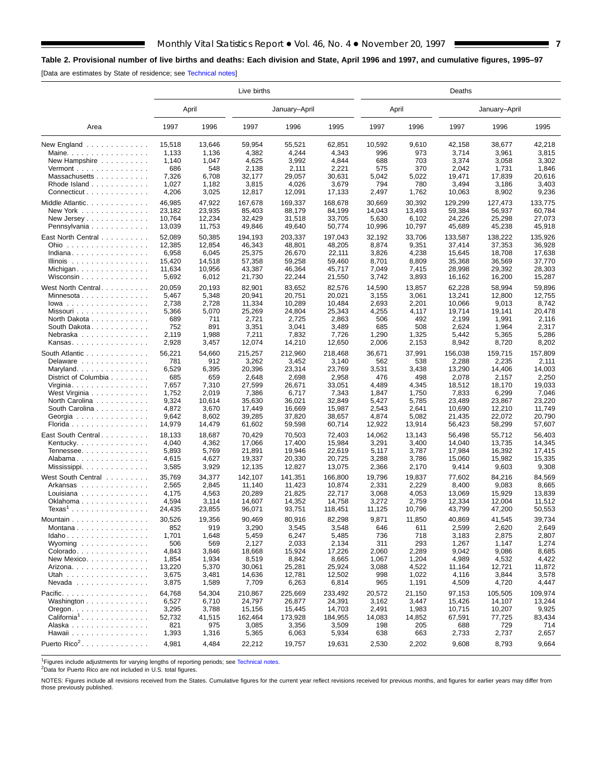# <span id="page-6-0"></span>**Table 2. Provisional number of live births and deaths: Each division and State, April 1996 and 1997, and cumulative figures, 1995–97**

[Data are estimates by State of residence; see [Technical notes\]](#page-16-0)

E

|                                                                    |                 |                 | Live births     |                  | Deaths          |               |                 |                  |                |                 |  |  |  |
|--------------------------------------------------------------------|-----------------|-----------------|-----------------|------------------|-----------------|---------------|-----------------|------------------|----------------|-----------------|--|--|--|
|                                                                    |                 | April           |                 | January-April    |                 |               | April           |                  | January-April  |                 |  |  |  |
| Area                                                               | 1997            | 1996            | 1997            | 1996             | 1995            | 1997          | 1996            | 1997             | 1996           | 1995            |  |  |  |
| New England $\ldots$                                               | 15,518<br>1,133 | 13,646<br>1,136 | 59.954<br>4,382 | 55,521<br>4,244  | 62,851<br>4,343 | 10,592<br>996 | 9,610<br>973    | 42,158           | 38,677         | 42,218<br>3,815 |  |  |  |
| Maine. $\ldots$                                                    |                 | 1,047           | 4,625           | 3,992            | 4,844           | 688           | 703             | 3,714<br>3,374   | 3,961<br>3,058 | 3,302           |  |  |  |
| New Hampshire<br>Vermont $\ldots$ , $\ldots$ , $\ldots$ , $\ldots$ | 1,140<br>686    | 548             | 2,138           | 2,111            | 2,221           | 575           | 370             | 2,042            | 1,731          | 1,846           |  |  |  |
| Massachusetts                                                      | 7,326           | 6,708           | 32,177          | 29,057           | 30,631          | 5,042         | 5,022           | 19,471           | 17,839         | 20,616          |  |  |  |
| Rhode Island                                                       | 1,027           | 1,182           | 3,815           | 4,026            | 3,679           | 794           | 780             | 3,494            | 3,186          | 3,403           |  |  |  |
| Connecticut                                                        | 4,206           | 3,025           | 12,817          | 12,091           | 17,133          | 2,497         | 1,762           | 10,063           | 8,902          | 9,236           |  |  |  |
|                                                                    |                 |                 |                 |                  |                 |               |                 |                  |                |                 |  |  |  |
| Middle Atlantic.                                                   | 46,985          | 47,922          | 167,678         | 169,337          | 168,678         | 30,669        | 30,392          | 129,299          | 127,473        | 133,775         |  |  |  |
| New York                                                           | 23,182          | 23,935          | 85,403          | 88,179           | 84,199          | 14,043        | 13,493          | 59,384           | 56,937         | 60,784          |  |  |  |
| New Jersey                                                         | 10,764          | 12,234          | 32,429          | 31,518           | 33,705          | 5,630         | 6,102           | 24,226           | 25,298         | 27,073          |  |  |  |
| Pennsylvania                                                       | 13,039          | 11,753          | 49,846          | 49,640           | 50,774          | 10,996        | 10,797          | 45,689           | 45,238         | 45,918          |  |  |  |
| East North Central                                                 | 52,089          | 50,385          | 194,193         | 203,337          | 197,043         | 32,192        | 33,706          | 133,587          | 138,222        | 135,926         |  |  |  |
| Ohio                                                               | 12,385          | 12,854          | 46,343          | 48,801           | 48,205          | 8,874         | 9,351           | 37,414           | 37,353         | 36,928          |  |  |  |
| Indiana                                                            | 6,958           | 6,045           | 25,375          | 26,670           | 22,111          | 3,826         | 4,238           | 15,645           | 18,708         | 17,638          |  |  |  |
| Illinois                                                           | 15,420          | 14,518          | 57,358          | 59,258           | 59,460          | 8,701         | 8,809           | 35,368           | 36,569         | 37,770          |  |  |  |
| Michigan                                                           | 11,634          | 10,956          | 43,387          | 46,364           | 45,717          | 7,049         | 7,415           | 28,998           | 29,392         | 28,303          |  |  |  |
| Wisconsin                                                          | 5,692           | 6,012           | 21,730          | 22,244           | 21,550          | 3,742         | 3,893           | 16,162           | 16,200         | 15,287          |  |  |  |
| West North Central                                                 | 20,059          | 20,193          | 82,901          | 83,652           | 82,576          | 14,590        | 13,857          | 62,228           | 58,994         | 59,896          |  |  |  |
| Minnesota                                                          | 5,467           | 5,348           | 20,941          | 20,751           | 20,021          | 3,155         | 3,061           | 13,241           | 12,800         | 12,755          |  |  |  |
| $lowa$                                                             | 2,738           | 2,728           | 11,334          | 10,289           | 10,484          | 2,693         | 2,201           | 10,066           | 9,013          | 8,742           |  |  |  |
| Missouri                                                           | 5,366           | 5,070           | 25,269          | 24,804           | 25,343          | 4,255         | 4,117           | 19,714           | 19,141         | 20,478          |  |  |  |
| North Dakota                                                       | 689             | 711             | 2,721           | 2,725            | 2,863           | 506           | 492             | 2,199            | 1,991          | 2,116           |  |  |  |
| South Dakota.                                                      | 752             | 891             | 3,351           | 3,041            | 3,489           | 685           | 508             | 2,624            | 1,964          | 2,317           |  |  |  |
| Nebraska                                                           | 2,119           | 1,988           | 7,211           | 7,832            | 7,726           | 1,290         | 1,325           | 5,442            | 5,365          | 5,286           |  |  |  |
| Kansas                                                             | 2,928           | 3,457           | 12,074          | 14,210           | 12,650          | 2,006         | 2,153           | 8,942            | 8,720          | 8,202           |  |  |  |
| South Atlantic                                                     | 56,221          | 54,660          | 215,257         | 212,960          | 218,468         | 36,671        | 37,991          | 156,038          | 159,715        | 157,809         |  |  |  |
| Delaware                                                           | 781             | 912             | 3,262           | 3,452            | 3,140           | 562           | 538             | 2,288            | 2,235          | 2,111           |  |  |  |
| Maryland                                                           | 6,529           | 6,395           | 20,396          | 23,314           | 23,769          | 3,531         | 3,438           | 13,290           | 14,406         | 14,003          |  |  |  |
| District of Columbia                                               | 685             | 659             | 2,648           | 2,698            | 2,958           | 476           | 498             | 2,078            | 2,157          | 2,250           |  |  |  |
| Virginia. $\ldots$ .                                               | 7,657           | 7,310           | 27,599          | 26,671           | 33,051          | 4,489         | 4,345           | 18,512           | 18,170         | 19,033          |  |  |  |
| West Virginia                                                      | 1,752           | 2,019           | 7,386           | 6,717            | 7,343           | 1,847         | 1,750           | 7,833            | 6,299          | 7,046           |  |  |  |
| North Carolina                                                     | 9,324           | 10,614          | 35,630          | 36,021           | 32,849          | 5,427         | 5,785           | 23,489           | 23,867         | 23,220          |  |  |  |
| South Carolina                                                     | 4,872           | 3,670           | 17,449          | 16,669           | 15,987          | 2,543         | 2,641           | 10,690           | 12,210         | 11,749          |  |  |  |
| Georgia                                                            | 9,642           | 8,602           | 39,285          | 37,820           | 38,657          | 4,874         | 5,082           | 21,435           | 22,072         | 20,790          |  |  |  |
| Florida                                                            | 14,979          | 14,479          | 61,602          | 59,598           | 60,714          | 12,922        | 13,914          | 56,423           | 58,299         | 57,607          |  |  |  |
| East South Central                                                 | 18,133          | 18,687          | 70,429          | 70,503           | 72,403          | 14,062        | 13,143          | 56,498           | 55,712         | 56,403          |  |  |  |
| Kentucky. $\ldots$ .                                               | 4,040           | 4,362           | 17,066          | 17,400           | 15,984          | 3,291         | 3,400           | 14,040           | 13,735         | 14,345          |  |  |  |
| Tennessee                                                          | 5,893           | 5,769           | 21,891          | 19,946           | 22,619          | 5,117         | 3,787           | 17,984           | 16,392         | 17,415          |  |  |  |
| Alabama                                                            | 4,615           | 4,627           | 19,337          | 20,330           | 20,725          | 3,288         | 3,786           | 15,060           | 15,982         | 15,335          |  |  |  |
| Mississippi                                                        | 3,585           | 3,929           | 12,135          | 12,827           | 13,075          | 2,366         | 2,170           | 9,414            | 9,603          | 9,308           |  |  |  |
|                                                                    |                 |                 |                 |                  |                 |               |                 |                  |                |                 |  |  |  |
| West South Central                                                 | 35,769          | 34,377          | 142,107         | 141,351          | 166,800         | 19,796        | 19,837          | 77,602           | 84,216         | 84,569          |  |  |  |
| Arkansas                                                           | 2,565           | 2,845           | 11,140          | 11,423           | 10,874          | 2,331         | 2,229           | 8,400            | 9,083          | 8,665           |  |  |  |
| Louisiana                                                          | 4,175           | 4,563           | 20,289          | 21,825           | 22,717          | 3,068         | 4,053           | 13,069           | 15,929         | 13,839          |  |  |  |
| Oklahoma<br>$Texas1$                                               | 4,594           | 3,114           | 14,607          | 14,352<br>93,751 | 14,758          | 3,272         | 2,759<br>10,796 | 12,334<br>43,799 | 12,004         | 11,512          |  |  |  |
|                                                                    | 24,435          | 23,855          | 96,071          |                  | 118,451         | 11,125        |                 |                  | 47,200         | 50,553          |  |  |  |
| Mountain                                                           | 30,526          | 19,356          | 90,469          | 80,916           | 82,298          | 9,871         | 11,850          | 40,869           | 41,545         | 39,734          |  |  |  |
| Montana                                                            | 852             | 919             | 3,290           | 3,545            | 3,548           | 646           | 611             | 2,599            | 2,620          | 2,649           |  |  |  |
| Idaho                                                              | 1,701           | 1,648           | 5,459           | 6,247            | 5,485           | 736           | 718             | 3,183            | 2,875          | 2,807           |  |  |  |
| Wyoming $\ldots \ldots \ldots \ldots$                              | 506             | 569             | 2,127           | 2,033            | 2,134           | 311           | 293             | 1,267            | 1,147          | 1,274           |  |  |  |
| Colorado.                                                          | 4,843           | 3,846           | 18,668          | 15,924           | 17,226          | 2,060         | 2,289           | 9,042            | 9,086          | 8,685           |  |  |  |
| New Mexico                                                         | 1,854           | 1,934           | 8,519           | 8,842            | 8,665           | 1,067         | 1,204           | 4,989            | 4,532          | 4,422           |  |  |  |
| Arizona. $\ldots$ .                                                | 13,220          | 5,370           | 30,061          | 25,281           | 25,924          | 3,088         | 4,522           | 11,164           | 12,721         | 11,872          |  |  |  |
| Utah                                                               | 3,675           | 3,481           | 14,636          | 12,781           | 12,502          | 998           | 1,022           | 4,116            | 3,844          | 3,578           |  |  |  |
| Nevada                                                             | 3,875           | 1,589           | 7,709           | 6,263            | 6,814           | 965           | 1,191           | 4,509            | 4,720          | 4,447           |  |  |  |
| Pacific.                                                           | 64,768          | 54,304          | 210,867         | 225,669          | 233,492         | 20,572        | 21,150          | 97,153           | 105,505        | 109,974         |  |  |  |
| Washington                                                         | 6,527           | 6,710           | 24,797          | 26,877           | 24,391          | 3,162         | 3,447           | 15,426           | 14,107         | 13,244          |  |  |  |
| $O$ regon. $\ldots$ . $\ldots$ . $\ldots$ .                        | 3,295           | 3,788           | 15,156          | 15,445           | 14,703          | 2,491         | 1,983           | 10,715           | 10,207         | 9,925           |  |  |  |
| California <sup>1</sup>                                            | 52,732          | 41,515          | 162,464         | 173,928          | 184,955         | 14,083        | 14,852          | 67,591           | 77,725         | 83,434          |  |  |  |
| Alaska                                                             | 821             | 975             | 3,085           | 3,356            | 3,509           | 198           | 205             | 688              | 729            | 714             |  |  |  |
| Hawaii                                                             | 1,393           | 1,316           | 5,365           | 6,063            | 5,934           | 638           | 663             | 2,733            | 2,737          | 2,657           |  |  |  |
| Puerto Rico <sup>2</sup> .                                         | 4,981           | 4,484           | 22,212          | 19,757           | 19,631          | 2,530         | 2,202           | 9,608            | 8,793          | 9,664           |  |  |  |
|                                                                    |                 |                 |                 |                  |                 |               |                 |                  |                |                 |  |  |  |

<sup>1</sup>Figures include adjustments for varying lengths of reporting periods; see [Technical notes.](#page-16-0)<br><sup>2</sup>Data for Puerto Rico are not included in U.S. total figures.

NOTES: Figures include all revisions received from the States. Cumulative figures for the current year reflect revisions received for previous months, and figures for earlier years may differ from those previously published.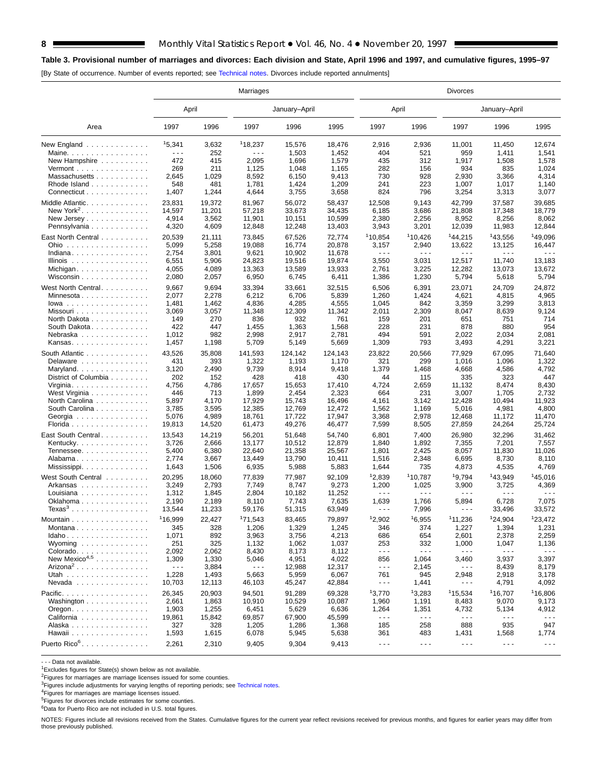# **Table 3. Provisional number of marriages and divorces: Each division and State, April 1996 and 1997, and cumulative figures, 1995–97**

[By State of occurrence. Number of events reported; see [Technical notes. Di](#page-16-0)vorces include reported annulments]

|                                                           | Marriages            |        |         |               |         |                      | <b>Divorces</b>      |                      |                      |                      |  |  |  |  |
|-----------------------------------------------------------|----------------------|--------|---------|---------------|---------|----------------------|----------------------|----------------------|----------------------|----------------------|--|--|--|--|
|                                                           | April                |        |         | January-April |         | April                |                      |                      | January-April        |                      |  |  |  |  |
| Area                                                      | 1997                 | 1996   | 1997    | 1996          | 1995    | 1997                 | 1996                 | 1997                 | 1996                 | 1995                 |  |  |  |  |
| New England                                               | 15,341               | 3,632  | 118.237 | 15.576        | 18,476  | 2,916                | 2,936                | 11,001               | 11,450               | 12,674               |  |  |  |  |
| Maine.                                                    | .                    | 252    | - - -   | 1,503         | 1,452   | 404                  | 521                  | 959                  | 1,411                | 1,541                |  |  |  |  |
| New Hampshire                                             | 472                  | 415    | 2,095   | 1,696         | 1,579   | 435                  | 312                  | 1,917                | 1,508                | 1,578                |  |  |  |  |
| Vermont                                                   | 269                  | 211    | 1,125   | 1,048         | 1,165   | 282                  | 156                  | 934                  | 835                  | 1,024                |  |  |  |  |
| Massachusetts                                             | 2,645                | 1,029  | 8,592   | 6,150         | 9,413   | 730                  | 928                  | 2,930                | 3,366                | 4,314                |  |  |  |  |
| Rhode Island                                              | 548                  | 481    | 1,781   | 1,424         | 1,209   | 241                  | 223                  | 1,007                | 1,017                | 1,140                |  |  |  |  |
| Connecticut                                               | 1,407                | 1,244  | 4,644   | 3,755         | 3,658   | 824                  | 796                  | 3,254                | 3,313                | 3,077                |  |  |  |  |
| Middle Atlantic.                                          | 23,831               | 19,372 | 81,967  | 56,072        | 58,437  | 12,508               | 9,143                | 42,799               | 37,587               | 39,685               |  |  |  |  |
| New York <sup>2</sup> .                                   | 14,597               | 11,201 | 57,218  | 33,673        | 34,435  | 6,185                | 3,686                | 21,808               | 17,348               | 18,779               |  |  |  |  |
| New Jersey                                                | 4,914                | 3,562  | 11,901  | 10,151        | 10,599  | 2,380                | 2,256                | 8,952                | 8,256                | 8,062                |  |  |  |  |
| Pennsylvania                                              | 4,320                | 4,609  | 12,848  | 12,248        | 13,403  | 3,943                | 3,201                | 12,039               | 11,983               | 12,844               |  |  |  |  |
|                                                           |                      |        |         |               |         |                      |                      |                      |                      |                      |  |  |  |  |
| East North Central                                        | 20,539               | 21,111 | 73,845  | 67,526        | 72,774  | <sup>1</sup> 10,854  | 110,426              | <sup>1</sup> 44,215  | 143,556              | <sup>1</sup> 49,096  |  |  |  |  |
| Ohio                                                      | 5,099                | 5,258  | 19,088  | 16,774        | 20,878  | 3,157                | 2,940                | 13,622               | 13,125               | 16,447               |  |  |  |  |
| Indiana                                                   | 2,754                | 3,801  | 9,621   | 10,902        | 11,678  | $\sim$ $\sim$ $\sim$ | $\sim$ $\sim$ $\sim$ | $\sim$ $\sim$ $\sim$ | $\sim$ $\sim$ $\sim$ | - - -                |  |  |  |  |
| Illinois $\dots \dots \dots \dots$                        | 6,551                | 5,906  | 24,823  | 19,516        | 19,874  | 3,550                | 3,031                | 12,517               | 11,740               | 13,183               |  |  |  |  |
| Michigan                                                  | 4,055                | 4,089  | 13,363  | 13,589        | 13,933  | 2,761                | 3,225                | 12,282               | 13,073               | 13,672               |  |  |  |  |
| Wisconsin                                                 | 2,080                | 2,057  | 6,950   | 6,745         | 6,411   | 1,386                | 1,230                | 5,794                | 5,618                | 5,794                |  |  |  |  |
| West North Central.                                       | 9,667                | 9,694  | 33,394  | 33,661        | 32,515  | 6,506                | 6,391                | 23,071               | 24,709               | 24,872               |  |  |  |  |
| Minnesota                                                 | 2,077                | 2,278  | 6,212   | 6,706         | 5,839   | 1,260                | 1,424                | 4,621                | 4,815                | 4,965                |  |  |  |  |
| $lowa$                                                    | 1,481                | 1,462  | 4,836   | 4,285         | 4,555   | 1,045                | 842                  | 3,359                | 3,299                | 3,813                |  |  |  |  |
| Missouri                                                  | 3,069                | 3,057  | 11,348  | 12,309        | 11,342  | 2,011                | 2,309                | 8,047                | 8,639                | 9,124                |  |  |  |  |
| North Dakota                                              | 149                  | 270    | 836     | 932           | 761     | 159                  | 201                  | 651                  | 751                  | 714                  |  |  |  |  |
| South Dakota                                              | 422                  | 447    | 1,455   | 1,363         | 1,568   | 228                  | 231                  | 878                  | 880                  | 954                  |  |  |  |  |
| Nebraska                                                  | 1,012                | 982    | 2,998   | 2,917         | 2,781   | 494                  | 591                  | 2,022                | 2,034                | 2,081                |  |  |  |  |
| Kansas                                                    | 1,457                | 1,198  | 5,709   | 5,149         | 5,669   | 1,309                | 793                  | 3,493                | 4,291                | 3,221                |  |  |  |  |
|                                                           |                      |        |         |               |         |                      |                      |                      |                      |                      |  |  |  |  |
| South Atlantic                                            | 43,526               | 35,808 | 141,593 | 124,142       | 124,143 | 23,822               | 20,566               | 77,929               | 67,095               | 71,640               |  |  |  |  |
| Delaware                                                  | 431                  | 393    | 1,322   | 1,193         | 1,170   | 321                  | 299                  | 1,016                | 1,096                | 1,322                |  |  |  |  |
| Maryland                                                  | 3,120                | 2,490  | 9,739   | 8,914         | 9,418   | 1,379                | 1,468                | 4,668                | 4,586                | 4,792                |  |  |  |  |
| District of Columbia                                      | 202                  | 152    | 428     | 418           | 430     | 44                   | 115                  | 335                  | 323                  | 447                  |  |  |  |  |
| Virginia. $\ldots$ .                                      | 4,756                | 4,786  | 17,657  | 15,653        | 17,410  | 4,724                | 2,659                | 11,132               | 8,474                | 8,430                |  |  |  |  |
| West Virginia                                             | 446                  | 713    | 1,899   | 2,454         | 2,323   | 664                  | 231                  | 3,007                | 1,705                | 2,732                |  |  |  |  |
| North Carolina                                            | 5,897                | 4,170  | 17,929  | 15,743        | 16,496  | 4,161                | 3,142                | 12,428               | 10,494               | 11,923               |  |  |  |  |
| South Carolina                                            | 3,785                | 3,595  | 12,385  | 12,769        | 12,472  | 1,562                | 1,169                | 5,016                | 4,981                | 4,800                |  |  |  |  |
| Georgia                                                   | 5,076                | 4,989  | 18,761  | 17,722        | 17,947  | 3,368                | 2,978                | 12,468               | 11,172               | 11,470               |  |  |  |  |
| Florida                                                   | 19,813               | 14,520 | 61,473  | 49,276        | 46,477  | 7,599                | 8,505                | 27,859               | 24,264               | 25,724               |  |  |  |  |
| East South Central.                                       | 13,543               | 14,219 | 56,201  | 51,648        | 54,740  | 6,801                | 7,400                | 26,980               | 32,296               | 31,462               |  |  |  |  |
| Kentucky. $\ldots$ .                                      | 3,726                | 2,666  | 13,177  | 10,512        | 12,879  | 1,840                | 1,892                | 7,355                | 7,201                | 7,557                |  |  |  |  |
| Tennessee                                                 | 5,400                | 6,380  | 22,640  | 21,358        | 25,567  | 1,801                | 2,425                | 8,057                | 11,830               | 11,026               |  |  |  |  |
| Alabama                                                   | 2,774                | 3,667  | 13,449  | 13,790        | 10,411  | 1,516                | 2,348                | 6,695                | 8,730                | 8,110                |  |  |  |  |
| Mississippi                                               | 1,643                | 1,506  | 6,935   | 5,988         | 5,883   | 1,644                | 735                  | 4,873                | 4,535                | 4,769                |  |  |  |  |
|                                                           |                      |        |         |               |         |                      |                      |                      |                      |                      |  |  |  |  |
| West South Central                                        | 20,295               | 18,060 | 77,839  | 77,987        | 92,109  | 12,839               | <sup>1</sup> 10,787  | 19,794               | <sup>1</sup> 43,949  | 145,016              |  |  |  |  |
| Arkansas                                                  | 3,249                | 2,793  | 7,749   | 8,747         | 9,273   | 1,200                | 1,025                | 3,900                | 3,725                | 4,369                |  |  |  |  |
| Louisiana                                                 | 1,312                | 1,845  | 2,804   | 10,182        | 11,252  | .                    | .                    | $\sim$ $\sim$ $\sim$ | $- - -$              | $\sim$ $\sim$ $\sim$ |  |  |  |  |
| Oklahoma                                                  | 2,190                | 2,189  | 8,110   | 7,743         | 7,635   | 1,639                | 1,766                | 5,894                | 6,728                | 7,075                |  |  |  |  |
| Texas $3 \ldots \ldots \ldots \ldots$                     | 13,544               | 11,233 | 59,176  | 51,315        | 63,949  | $- - -$              | 7,996                | $\sim$ $\sim$ $\sim$ | 33,496               | 33,572               |  |  |  |  |
| Mountain                                                  | 116,999              | 22,427 | 171,543 | 83,465        | 79,897  | 12,902               | 16,955               | 111.236              | 124.904              | 123,472              |  |  |  |  |
| Montana                                                   | 345                  | 328    | 1,206   | 1,329         | 1,245   | 346                  | 374                  | 1,227                | 1,394                | 1,231                |  |  |  |  |
| Idaho                                                     | 1,071                | 892    | 3,963   | 3,756         | 4,213   | 686                  | 654                  | 2,601                | 2,378                | 2,259                |  |  |  |  |
| Wyoming $\ldots \ldots \ldots \ldots$                     | 251                  | 325    | 1,132   | 1,062         | 1,037   | 253                  | 332                  | 1,000                | 1,047                | 1,136                |  |  |  |  |
| Colorado.                                                 | 2,092                | 2,062  | 8,430   | 8,173         | 8,112   | $\sim$ $\sim$ $\sim$ | $\sim$ $\sim$ $\sim$ | $\sim$ $\sim$ $\sim$ | $\sim$ $\sim$ $\sim$ | $\sim$ $\sim$ $\sim$ |  |  |  |  |
| New Mexico <sup>4,5</sup>                                 | 1,309                | 1,330  | 5,046   | 4,951         | 4,022   | 856                  | 1,064                | 3,460                | 3,937                | 3,397                |  |  |  |  |
| Arizona <sup>2</sup>                                      | $\sim$ $\sim$ $\sim$ | 3,884  | $- - -$ | 12,988        | 12,317  | $\sim$ $\sim$ $\sim$ | 2,145                | $\sim$ $\sim$ $\sim$ | 8,439                | 8,179                |  |  |  |  |
| Utah                                                      | 1,228                | 1,493  | 5,663   | 5,959         | 6,067   | 761                  | 945                  | 2,948                | 2,918                | 3,178                |  |  |  |  |
| Nevada                                                    | 10,703               | 12,113 | 46,103  | 45,247        | 42,884  | .                    | 1,441                | $\sim$ $\sim$ $\sim$ | 4,791                | 4,092                |  |  |  |  |
|                                                           |                      |        |         |               |         |                      |                      |                      |                      |                      |  |  |  |  |
| Pacific.                                                  | 26,345               | 20,903 | 94,501  | 91,289        | 69,328  | 13,770               | 13,283               | 115,534              | 116,707              | <sup>1</sup> 16,806  |  |  |  |  |
| Washington                                                | 2,661                | 1,863  | 10,910  | 10,529        | 10,087  | 1,960                | 1,191                | 8,483                | 9,070                | 9,173                |  |  |  |  |
| $O$ regon. $\ldots$ $\ldots$ $\ldots$ $\ldots$ $\ldots$ . | 1,903                | 1,255  | 6,451   | 5,629         | 6,636   | 1,264                | 1,351                | 4,732                | 5,134                | 4,912                |  |  |  |  |
| California                                                | 19,861               | 15,842 | 69,857  | 67,900        | 45,599  | $\sim$ $\sim$ $\sim$ | $- - -$              | $\sim$ $\sim$ $\sim$ | $\sim$ $\sim$ $\sim$ | $\sim$ $\sim$ $\sim$ |  |  |  |  |
| Alaska                                                    | 327                  | 328    | 1,205   | 1,286         | 1,368   | 185                  | 258                  | 888                  | 935                  | 947                  |  |  |  |  |
| Hawaii                                                    | 1,593                | 1,615  | 6,078   | 5,945         | 5,638   | 361                  | 483                  | 1,431                | 1,568                | 1,774                |  |  |  |  |
| Puerto Rico <sup>6</sup> .                                | 2,261                | 2,310  | 9,405   | 9,304         | 9,413   | $\sim$ $\sim$ $\sim$ | $\sim$ $\sim$ $\sim$ | $\sim$ $\sim$ $\sim$ | $\sim$ $\sim$ $\sim$ | $\sim$ $\sim$ $\sim$ |  |  |  |  |
|                                                           |                      |        |         |               |         |                      |                      |                      |                      |                      |  |  |  |  |

- - - Data not available.

<sup>1</sup>Excludes figures for State(s) shown below as not available.

<sup>2</sup>Figures for marriages are marriage licenses issued for some counties.

<sup>3</sup>Figures include adjustments for varying lengths of reporting periods; see [Technical notes.](#page-16-0)<br><sup>4</sup>Figures for marriages are marriage licenses issued.

5Figures for divorces include estimates for some counties.

 $6D$ ata for Puerto Rico are not included in U.S. total figures.

NOTES: Figures include all revisions received from the States. Cumulative figures for the current year reflect revisions received for previous months, and figures for earlier years may differ from those previously published.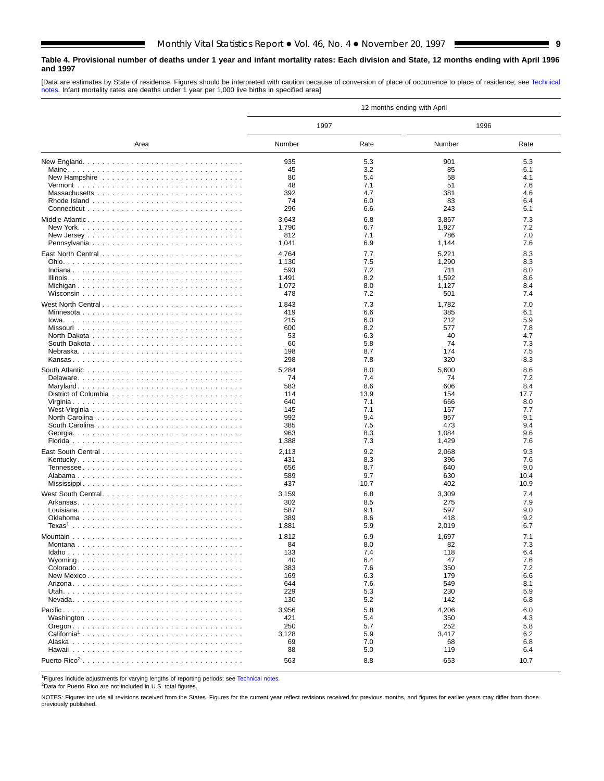### <span id="page-8-0"></span>**Table 4. Provisional number of deaths under 1 year and infant mortality rates: Each division and State, 12 months ending with April 1996 and 1997**

[Data are estimates by State of residence. Figures should be interpreted with caution because of conversion of place of occurrence to place of residence; see [Technical](#page-16-0) [notes. In](#page-16-0)fant mortality rates are deaths under 1 year per 1,000 live births in specified area]

|                          |              |            | 12 months ending with April |            |  |  |  |
|--------------------------|--------------|------------|-----------------------------|------------|--|--|--|
|                          | 1997         |            | 1996                        |            |  |  |  |
| Area                     | Number       | Rate       | Number                      | Rate       |  |  |  |
|                          | 935          | 5.3        | 901                         | 5.3        |  |  |  |
|                          | 45           | 3.2        | 85                          | 6.1        |  |  |  |
|                          | 80           | 5.4        | 58                          | 4.1        |  |  |  |
|                          | 48           | 7.1        | 51                          | 7.6        |  |  |  |
|                          | 392          | 4.7        | 381                         | 4.6        |  |  |  |
|                          | 74           | 6.0        | 83                          | 6.4        |  |  |  |
|                          | 296          | 6.6        | 243                         | 6.1        |  |  |  |
| Middle Atlantic          | 3,643        | 6.8        | 3,857                       | 7.3        |  |  |  |
|                          | 1,790        | 6.7        | 1,927                       | 7.2        |  |  |  |
|                          | 812          | 7.1        | 786                         | 7.0        |  |  |  |
|                          | 1,041        | 6.9        | 1,144                       | 7.6        |  |  |  |
|                          | 4,764        | 7.7        | 5,221                       | 8.3        |  |  |  |
|                          | 1,130        | 7.5        | 1,290                       | 8.3        |  |  |  |
|                          | 593          | 7.2        | 711                         | 8.0        |  |  |  |
|                          | 1,491        | 8.2        | 1,592                       | 8.6        |  |  |  |
|                          | 1,072<br>478 | 8.0<br>7.2 | 1,127<br>501                | 8.4<br>7.4 |  |  |  |
|                          |              |            |                             |            |  |  |  |
| West North Central       | 1,843        | 7.3        | 1,782                       | 7.0        |  |  |  |
|                          | 419          | 6.6        | 385                         | 6.1        |  |  |  |
|                          | 215          | 6.0        | 212                         | 5.9        |  |  |  |
|                          | 600          | 8.2        | 577                         | 7.8<br>4.7 |  |  |  |
|                          | 53<br>60     | 6.3<br>5.8 | 40<br>74                    | 7.3        |  |  |  |
|                          | 198          | 8.7        | 174                         | 7.5        |  |  |  |
|                          | 298          | 7.8        | 320                         | 8.3        |  |  |  |
|                          |              |            |                             |            |  |  |  |
|                          | 5,284        | 8.0        | 5,600                       | 8.6        |  |  |  |
|                          | 74<br>583    | 7.4<br>8.6 | 74<br>606                   | 7.2<br>8.4 |  |  |  |
|                          | 114          | 13.9       | 154                         | 17.7       |  |  |  |
|                          | 640          | 7.1        | 666                         | 8.0        |  |  |  |
|                          | 145          | 7.1        | 157                         | 7.7        |  |  |  |
|                          | 992          | 9.4        | 957                         | 9.1        |  |  |  |
|                          | 385          | 7.5        | 473                         | 9.4        |  |  |  |
|                          | 963          | 8.3        | 1,084                       | 9.6        |  |  |  |
|                          | 1,388        | 7.3        | 1,429                       | 7.6        |  |  |  |
|                          | 2,113        | 9.2        | 2,068                       | 9.3        |  |  |  |
|                          | 431          | 8.3        | 396                         | 7.6        |  |  |  |
|                          | 656          | 8.7        | 640                         | 9.0        |  |  |  |
|                          | 589          | 9.7        | 630                         | 10.4       |  |  |  |
|                          | 437          | 10.7       | 402                         | 10.9       |  |  |  |
| West South Central       | 3,159        | 6.8        | 3,309                       | 7.4        |  |  |  |
|                          | 302          | 8.5        | 275                         | 7.9        |  |  |  |
|                          | 587          | 9.1        | 597                         | 9.0        |  |  |  |
|                          | 389          | 8.6        | 418                         | 9.2        |  |  |  |
|                          | 1,881        | 5.9        | 2,019                       | 6.7        |  |  |  |
|                          | 1,812        | 6.9        | 1,697                       | 7.1        |  |  |  |
|                          | 84           | 8.0        | 82                          | 7.3        |  |  |  |
|                          | 133          | 7.4        | 118                         | 6.4        |  |  |  |
|                          | 40           | 6.4        | 47                          | 7.6        |  |  |  |
|                          | 383          | 7.6        | 350                         | 7.2        |  |  |  |
|                          | 169          | 6.3        | 179                         | 6.6        |  |  |  |
|                          | 644          | 7.6        | 549                         | 8.1        |  |  |  |
|                          | 229          | 5.3        | 230                         | 5.9        |  |  |  |
|                          | 130          | 5.2        | 142                         | 6.8        |  |  |  |
|                          | 3,956        | 5.8        | 4,206                       | 6.0        |  |  |  |
|                          | 421          | 5.4        | 350                         | 4.3        |  |  |  |
|                          | 250          | 5.7        | 252                         | 5.8        |  |  |  |
| California <sup>1</sup>  | 3,128        | 5.9        | 3,417                       | 6.2        |  |  |  |
|                          | 69<br>88     | 7.0<br>5.0 | 68<br>119                   | 6.8<br>6.4 |  |  |  |
|                          |              |            |                             |            |  |  |  |
| Puerto Rico <sup>2</sup> | 563          | 8.8        | 653                         | 10.7       |  |  |  |

1Figures include adjustments for varying lengths of reporting periods; see [Technical notes.](#page-16-0)

2Data for Puerto Rico are not included in U.S. total figures.

NOTES: Figures include all revisions received from the States. Figures for the current year reflect revisions received for previous months, and figures for earlier years may differ from those previously published.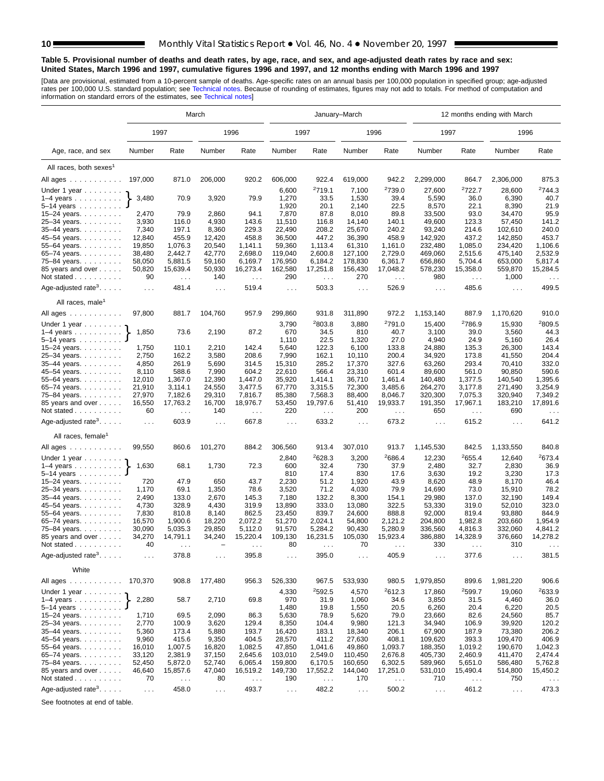### **Table 5. Provisional number of deaths and death rates, by age, race, and sex, and age-adjusted death rates by race and sex: United States, March 1996 and 1997, cumulative figures 1996 and 1997, and 12 months ending with March 1996 and 1997**

[Data are provisional, estimated from a 10-percent sample of deaths. Age-specific rates on an annual basis per 100,000 population in specified group; age-adjusted<br>rates per 100,000 U.S. standard population; see Technical n

|                                                                                                                               | March                |                           |                               |                        |                      |                      | January-March        |                                  | 12 months ending with March |                        |                  |                                  |  |  |
|-------------------------------------------------------------------------------------------------------------------------------|----------------------|---------------------------|-------------------------------|------------------------|----------------------|----------------------|----------------------|----------------------------------|-----------------------------|------------------------|------------------|----------------------------------|--|--|
|                                                                                                                               |                      | 1997                      |                               | 1996                   |                      | 1997                 |                      | 1996                             | 1997                        |                        | 1996             |                                  |  |  |
| Age, race, and sex                                                                                                            | Number               | Rate                      | Number                        | Rate                   | Number               | Rate                 | Number               | Rate                             | Number                      | Rate                   | Number           | Rate                             |  |  |
| All races, both sexes <sup>1</sup>                                                                                            |                      |                           |                               |                        |                      |                      |                      |                                  |                             |                        |                  |                                  |  |  |
| All ages                                                                                                                      | 197,000              | 871.0                     | 206,000                       | 920.2                  | 606,000              | 922.4                | 619,000              | 942.2                            | 2,299,000                   | 864.7                  | 2,306,000        | 875.3                            |  |  |
| Under 1 year                                                                                                                  |                      |                           |                               |                        | 6,600                | 2719.1               | 7,100                | <sup>2</sup> 739.0               | 27,600                      | 2722.7                 | 28,600           | 2744.3                           |  |  |
| $1-4$ years                                                                                                                   | 3,480                | 70.9                      | 3,920                         | 79.9                   | 1,270                | 33.5                 | 1,530                | 39.4                             | 5,590                       | 36.0                   | 6,390            | 40.7                             |  |  |
| $5-14$ years                                                                                                                  |                      |                           |                               |                        | 1,920                | 20.1                 | 2,140                | 22.5                             | 8,570                       | 22.1                   | 8,390            | 21.9                             |  |  |
| 15-24 years.                                                                                                                  | 2,470                | 79.9                      | 2,860                         | 94.1                   | 7,870                | 87.8                 | 8,010                | 89.8                             | 33,500                      | 93.0                   | 34,470           | 95.9                             |  |  |
| 25-34 years.                                                                                                                  | 3,930                | 116.0                     | 4,930                         | 143.6                  | 11,510               | 116.8                | 14,140               | 140.1                            | 49,600                      | 123.3                  | 57,450           | 141.2                            |  |  |
| 35-44 years.                                                                                                                  | 7,340                | 197.1                     | 8,360                         | 229.3                  | 22,490               | 208.2                | 25,670               | 240.2                            | 93,240                      | 214.6                  | 102,610          | 240.0                            |  |  |
| 45–54 years.                                                                                                                  | 12,840               | 455.9                     | 12,420                        | 458.8                  | 36,500               | 447.2                | 36,390               | 458.9                            | 142,920                     | 437.2                  | 142,850          | 453.7                            |  |  |
| 55–64 years.                                                                                                                  | 19,850               | 1,076.3                   | 20,540                        | 1,141.1                | 59,360               | 1.113.4              | 61,310               | 1,161.0                          | 232,480                     | 1,085.0                | 234,420          | 1,106.6                          |  |  |
| 65-74 years.                                                                                                                  | 38,480               | 2,442.7                   | 42,770                        | 2,698.0                | 119,040              | 2,600.8              | 127,100              | 2,729.0                          | 469,060                     | 2,515.6                | 475,140          | 2,532.9                          |  |  |
| 75-84 years.                                                                                                                  | 58,050               | 5,881.5                   | 59,160                        | 6,169.7                | 176,950              | 6,184.2              | 178,830              | 6,361.7                          | 656,860                     | 5,704.4                | 653,000          | 5,817.4                          |  |  |
| 85 years and over                                                                                                             | 50,820               | 15,639.4                  | 50,930                        | 16,273.4               | 162,580              | 17,251.8             | 156,430              | 17,048.2                         | 578,230                     | 15,358.0               | 559,870          | 15,284.5                         |  |  |
| Not stated                                                                                                                    | 90                   | $\sim$ $\sim$             | 140                           | $\sim$ $\sim$          | 290                  | $\ldots$             | 270                  | $\sim$                           | 980                         | $\sim$ $\sim$          | 1,000            | $\ldots$                         |  |  |
| Age-adjusted rate <sup>3</sup> . $\ldots$ .                                                                                   | $\ldots$ .           | 481.4                     | $\sim$ $\sim$ $\sim$          | 519.4                  | $\sim$ $\sim$ $\sim$ | 503.3                |                      | 526.9                            | $\sim$ $\sim$ $\sim$        | 485.6                  | $\cdots$         | 499.5                            |  |  |
| All races, male <sup>1</sup>                                                                                                  |                      |                           |                               |                        |                      |                      |                      |                                  |                             |                        |                  |                                  |  |  |
| All ages $\ldots$ $\ldots$ $\ldots$ .                                                                                         | 97,800               | 881.7                     | 104,760                       | 957.9                  | 299,860              | 931.8                | 311,890              | 972.2                            | 1,153,140                   | 887.9                  | 1,170,620        | 910.0                            |  |  |
| Under 1 year                                                                                                                  |                      |                           |                               |                        | 3,790                | 2803.8               | 3,880                | <sup>2</sup> 791.0               | 15,400                      | 2786.9                 | 15,930           | 2809.5                           |  |  |
| $1-4$ years                                                                                                                   | 1,850                | 73.6                      | 2,190                         | 87.2                   | 670                  | 34.5                 | 810                  | 40.7                             | 3,100                       | 39.0                   | 3,560            | 44.3                             |  |  |
| $5 - 14$ years                                                                                                                |                      |                           |                               |                        | 1,110                | 22.5                 | 1,320                | 27.0                             | 4,940                       | 24.9                   | 5,160            | 26.4                             |  |  |
| 15-24 years.                                                                                                                  | 1,750                | 110.1                     | 2,210                         | 142.4                  | 5,640                | 122.3                | 6,100                | 133.8<br>200.4                   | 24,880                      | 135.3                  | 26,300           | 143.4<br>204.4                   |  |  |
| 25-34 years.<br>35-44 years.                                                                                                  | 2,750<br>4,850       | 162.2<br>261.9            | 3,580<br>5,690                | 208.6<br>314.5         | 7,990<br>15,310      | 162.1<br>285.2       | 10,110<br>17,370     | 327.6                            | 34,920<br>63,260            | 173.8<br>293.4         | 41,550<br>70,410 | 332.0                            |  |  |
| 45-54 years.                                                                                                                  | 8,110                | 588.6                     | 7,990                         | 604.2                  | 22,610               | 566.4                | 23,310               | 601.4                            | 89,600                      | 561.0                  | 90,850           | 590.6                            |  |  |
| 55-64 years.                                                                                                                  | 12,010               | 1,367.0                   | 12,390                        | 1,447.0                | 35,920               | 1,414.1              | 36,710               | 1,461.4                          | 140,480                     | 1,377.5                | 140,540          | 1,395.6                          |  |  |
| 65-74 years.                                                                                                                  | 21,910               | 3,114.1                   | 24,550                        | 3,477.5                | 67,770               | 3,315.5              | 72,300               | 3,485.6                          | 264,270                     | 3,177.8                | 271,490          | 3,254.9                          |  |  |
| 75-84 years.                                                                                                                  | 27,970               | 7,182.6                   | 29,310                        | 7,816.7                | 85,380               | 7,568.3              | 88,400               | 8,046.7                          | 320,300                     | 7,075.3                | 320,940          | 7,349.2                          |  |  |
| 85 years and over<br>Not stated                                                                                               | 16,550<br>60         | 17,763.2<br>$\sim$ $\sim$ | 16,700<br>140                 | 18,976.7<br>$\sim 100$ | 53,450<br>220        | 19,797.6<br>$\ldots$ | 51,410<br>200        | 19,933.7<br>$\sim$ $\sim$ $\sim$ | 191,350<br>650              | 17,967.1<br>$\sim 100$ | 183,210<br>690   | 17,891.6<br>$\sim$ $\sim$ $\sim$ |  |  |
| Age-adjusted rate <sup>3</sup> . $\ldots$ .                                                                                   | $\sim 10$            | 603.9                     | $\sim 100$                    | 667.8                  | $\sim$ $\sim$ $\sim$ | 633.2                | $\sim$ $\sim$ $\sim$ | 673.2                            | $\ldots$                    | 615.2                  | $\sim$ $\sim$    | 641.2                            |  |  |
| All races, female <sup>1</sup>                                                                                                |                      |                           |                               |                        |                      |                      |                      |                                  |                             |                        |                  |                                  |  |  |
| All ages                                                                                                                      | 99,550               | 860.6                     | 101,270                       | 884.2                  | 306,560              | 913.4                | 307,010              | 913.7                            | 1,145,530                   | 842.5                  | 1,133,550        | 840.8                            |  |  |
| Under 1 year $\ldots \ldots$                                                                                                  |                      |                           |                               |                        | 2,840                | 2628.3               | 3,200                | 2686.4                           | 12,230                      | 2655.4                 | 12,640           | 2673.4                           |  |  |
| $1-4$ years                                                                                                                   | 1,630                | 68.1                      | 1,730                         | 72.3                   | 600                  | 32.4                 | 730                  | 37.9                             | 2,480                       | 32.7                   | 2,830            | 36.9                             |  |  |
| $5 - 14$ years                                                                                                                |                      |                           |                               |                        | 810                  | 17.4                 | 830                  | 17.6                             | 3,630                       | 19.2                   | 3,230            | 17.3                             |  |  |
| 15-24 years.                                                                                                                  | 720                  | 47.9                      | 650                           | 43.7                   | 2,230                | 51.2                 | 1,920                | 43.9                             | 8,620                       | 48.9                   | 8,170            | 46.4                             |  |  |
| 25-34 years.                                                                                                                  | 1,170                | 69.1                      | 1,350                         | 78.6                   | 3,520                | 71.2                 | 4,030                | 79.9                             | 14,690                      | 73.0                   | 15,910           | 78.2                             |  |  |
| 35-44 years.                                                                                                                  | 2,490                | 133.0                     | 2,670                         | 145.3                  | 7,180                | 132.2                | 8,300                | 154.1                            | 29,980                      | 137.0                  | 32,190           | 149.4                            |  |  |
| 45–54 years.                                                                                                                  | 4,730                | 328.9                     | 4,430                         | 319.9                  | 13,890               | 333.0                | 13,080               | 322.5                            | 53,330                      | 319.0                  | 52,010           | 323.0                            |  |  |
| 55-64 years.                                                                                                                  | 7,830                | 810.8                     | 8,140                         | 862.5                  | 23,450               | 839.7                | 24,600               | 888.8                            | 92,000                      | 819.4                  | 93,880           | 844.9                            |  |  |
| 65-74 years.                                                                                                                  | 16,570               | 1,900.6                   | 18,220                        | 2,072.2                | 51,270               | 2.024.1              | 54,800               | 2,121.2                          | 204,800                     | 1,982.8                | 203,660          | 1,954.9                          |  |  |
| 75–84 years.                                                                                                                  | 30,090               | 5,035.3                   | 29,850                        | 5,112.0                | 91,570               | 5,284.2              | 90,430               | 5,280.9                          | 336,560                     | 4,816.3                | 332,060          | 4,841.2                          |  |  |
| 85 years and over                                                                                                             | 34,270<br>40         | 14,791.1                  | 34,240                        | 15,220.4               | 109,130<br>80        | 16,231.5             | 105,030<br>70        | 15,923.4                         | 386,880<br>330              | 14,328.9               | 376,660<br>310   | 14,278.2                         |  |  |
| Not stated.<br>$\alpha$ , $\alpha$ , $\alpha$ , $\alpha$ , $\alpha$ , $\alpha$ , $\alpha$<br>Age-adjusted rate <sup>3</sup> . | $\sim$ $\sim$ $\sim$ | 378.8                     | $\cdots$                      | 395.8                  | $\cdots$             | 395.0                | $\cdots$             | 405.9                            | $\sim$ $\sim$ $\sim$        | 377.6                  | $\cdots$         | 381.5                            |  |  |
| White                                                                                                                         |                      |                           |                               |                        |                      |                      |                      |                                  |                             |                        |                  |                                  |  |  |
| All ages                                                                                                                      | 170,370              | 908.8                     | 177,480                       | 956.3                  | 526,330              | 967.5                | 533,930              | 980.5                            | 1,979,850                   | 899.6                  | 1,981,220        | 906.6                            |  |  |
| Under 1 year                                                                                                                  |                      |                           |                               |                        | 4,330                | 2592.5               | 4,570                | 2612.3                           | 17,860                      | 2599.7                 | 19,060           | 2633.9                           |  |  |
| $1-4$ years $\ldots$ $\ldots$ $\ldots$ .                                                                                      | 2,280                | 58.7                      | 2,710                         | 69.8                   | 970                  | 31.9                 | 1,060                | 34.6                             | 3,850                       | 31.5                   | 4,460            | 36.0                             |  |  |
| $5 - 14$ years                                                                                                                |                      |                           |                               |                        | 1,480                | 19.8                 | 1,550                | 20.5                             | 6,260                       | 20.4                   | 6,220            | 20.5                             |  |  |
| 15-24 years.                                                                                                                  | 1,710<br>2,770       | 69.5<br>100.9             | 2,090<br>3,620                | 86.3<br>129.4          | 5,630<br>8,350       | 78.9<br>104.4        | 5,620<br>9,980       | 79.0<br>121.3                    | 23,660<br>34,940            | 82.6                   | 24,560<br>39,920 | 85.7<br>120.2                    |  |  |
| 25-34 years<br>35-44 years.                                                                                                   | 5,360                | 173.4                     | 5,880                         | 193.7                  | 16,420               | 183.1                | 18,340               | 206.1                            | 67,900                      | 106.9<br>187.9         | 73,380           | 206.2                            |  |  |
| 45-54 years.                                                                                                                  | 9,960                | 415.6                     | 9,350                         | 404.5                  | 28,570               | 411.2                | 27,630               | 408.1                            | 109,620                     | 393.3                  | 109,470          | 406.9                            |  |  |
| 55–64 years.                                                                                                                  | 16,010               | 1,007.5                   | 16,820                        | 1,082.5                | 47,850               | 1,041.6              | 49,860               | 1,093.7                          | 188,350                     | 1,019.2                | 190,670          | 1,042.3                          |  |  |
| 65-74 years.                                                                                                                  | 33,120               | 2,381.9                   | 37,150                        | 2,645.6                | 103,010              | 2,549.0              | 110,450              | 2,676.8                          | 405,730                     | 2,460.9                | 411,470          | 2,474.4                          |  |  |
| 75-84 years.                                                                                                                  | 52,450               | 5,872.0                   | 52,740                        | 6,065.4                | 159,800              | 6,170.5              | 160,650              | 6,302.5                          | 589,960                     | 5,651.0                | 586,480          | 5,762.8                          |  |  |
| 85 years and over                                                                                                             | 46,640               | 15,857.6                  | 47,040                        | 16,519.2               | 149,730              | 17,552.2             | 144,040              | 17,251.0                         | 531,010                     | 15,490.4               | 514,800          | 15,450.2                         |  |  |
| Not stated                                                                                                                    | 70                   | $\sim$ $\sim$             | 80                            | $\sim$ $\sim$          | 190                  | $\sim$ $\sim$        | 170                  | $\epsilon \rightarrow \infty$    | 710                         | $\sim$ $\sim$ $\sim$   | 750              | $\epsilon \rightarrow \epsilon$  |  |  |
| Age-adjusted rate <sup>3</sup> . $\ldots$ .                                                                                   | $\sim$ $\sim$        | 458.0                     | $\epsilon \rightarrow \infty$ | 493.7                  | $\sim$ $\sim$        | 482.2                | $\sim$ $\sim$        | 500.2                            | $\sim$ $\sim$               | 461.2                  | $\sim 100$       | 473.3                            |  |  |

See footnotes at end of table.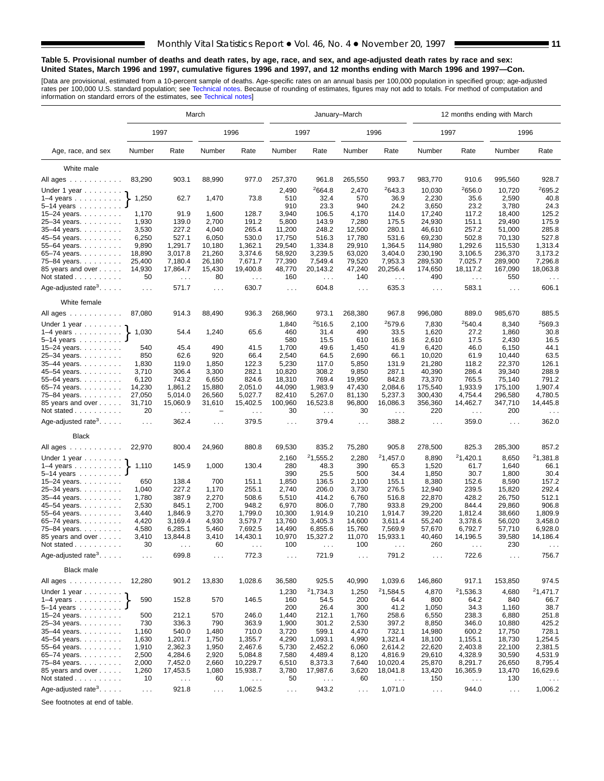### <span id="page-10-0"></span>**Table 5. Provisional number of deaths and death rates, by age, race, and sex, and age-adjusted death rates by race and sex: United States, March 1996 and 1997, cumulative figures 1996 and 1997, and 12 months ending with March 1996 and 1997—Con.**

[Data are provisional, estimated from a 10-percent sample of deaths. Age-specific rates on an annual basis per 100,000 population in specified group; age-adjusted<br>rates per 100,000 U.S. standard population; see Technical n

|                                                                                                                                                                                                         | March                      |                        |                |                        |                             |                               | January-March               |                                  | 12 months ending with March |                        |                  |                                  |  |
|---------------------------------------------------------------------------------------------------------------------------------------------------------------------------------------------------------|----------------------------|------------------------|----------------|------------------------|-----------------------------|-------------------------------|-----------------------------|----------------------------------|-----------------------------|------------------------|------------------|----------------------------------|--|
|                                                                                                                                                                                                         |                            | 1997                   |                | 1996                   |                             | 1997                          |                             | 1996                             | 1997                        |                        | 1996             |                                  |  |
| Age, race, and sex                                                                                                                                                                                      | Number                     | Rate                   | Number         | Rate                   | Number                      | Rate                          | Number                      | Rate                             | Number                      | Rate                   | Number           | Rate                             |  |
| White male                                                                                                                                                                                              |                            |                        |                |                        |                             |                               |                             |                                  |                             |                        |                  |                                  |  |
| All ages                                                                                                                                                                                                | 83,290                     | 903.1                  | 88,990         | 977.0                  | 257,370                     | 961.8                         | 265,550                     | 993.7                            | 983,770                     | 910.6                  | 995,560          | 928.7                            |  |
|                                                                                                                                                                                                         |                            |                        |                |                        |                             |                               |                             | 2643.3                           |                             |                        |                  | 2695.2                           |  |
| Under 1 year                                                                                                                                                                                            | 1,250                      | 62.7                   | 1,470          | 73.8                   | 2,490<br>510                | <sup>2</sup> 664.8<br>32.4    | 2,470<br>570                | 36.9                             | 10,030<br>2,230             | 2656.0<br>35.6         | 10,720<br>2,590  | 40.8                             |  |
| $1-4$ years<br>$5 - 14$ years                                                                                                                                                                           |                            |                        |                |                        | 910                         | 23.3                          | 940                         | 24.2                             | 3,650                       | 23.2                   | 3,780            | 24.3                             |  |
| 15-24 years.                                                                                                                                                                                            | 1,170                      | 91.9                   | 1,600          | 128.7                  | 3,940                       | 106.5                         | 4,170                       | 114.0                            | 17,240                      | 117.2                  | 18,400           | 125.2                            |  |
| 25-34 years.                                                                                                                                                                                            | 1,930                      | 139.0                  | 2,700          | 191.2                  | 5,800                       | 143.9                         | 7,280                       | 175.5                            | 24,930                      | 151.1                  | 29,490           | 175.9                            |  |
| 35-44 years.                                                                                                                                                                                            | 3,530                      | 227.2                  | 4,040          | 265.4                  | 11,200                      | 248.2                         | 12,500                      | 280.1                            | 46,610                      | 257.2                  | 51,000           | 285.8                            |  |
| 45-54 years.                                                                                                                                                                                            | 6,250                      | 527.1                  | 6,050          | 530.0                  | 17,750                      | 516.3                         | 17,780                      | 531.6                            | 69,230                      | 502.8                  | 70,130           | 527.8                            |  |
| 55-64 years.                                                                                                                                                                                            | 9,890                      | 1,291.7                | 10,180         | 1,362.1                | 29,540                      | 1,334.8                       | 29,910                      | 1,364.5                          | 114,980                     | 1,292.6                | 115,530          | 1.313.4                          |  |
| 65-74 years.                                                                                                                                                                                            | 18,890                     | 3,017.8                | 21,260         | 3,374.6                | 58,920                      | 3,239.5                       | 63,020                      | 3,404.0                          | 230,190                     | 3,106.5                | 236,370          | 3,173.2                          |  |
| 75-84 years.                                                                                                                                                                                            | 25,400                     | 7,180.4                | 26,180         | 7,671.7                | 77,390                      | 7,549.4                       | 79,520                      | 7,953.3                          | 289,530                     | 7,025.7                | 289,900          | 7,296.8                          |  |
| 85 years and over                                                                                                                                                                                       | 14,930                     | 17,864.7               | 15,430         | 19,400.8               | 48,770                      | 20,143.2                      | 47,240                      | 20,256.4                         | 174,650                     | 18,117.2               | 167,090          | 18,063.8                         |  |
| Not stated                                                                                                                                                                                              | 50                         | $\sim 100$             | 80             | $\sim$ $\sim$          | 160                         | $\sim$ .                      | 140                         | $\sim$ $\sim$                    | 490                         | $\sim$ $\sim$          | 550              | $\sim$ $\sim$                    |  |
| Age-adjusted rate <sup>3</sup> . $\ldots$ .                                                                                                                                                             | $\ldots$ .                 | 571.7                  | $\cdots$       | 630.7                  | $\sim$ $\sim$ $\sim$        | 604.8                         | $\sim$ $\sim$ $\sim$        | 635.3                            | $\sim$ $\sim$ $\sim$        | 583.1                  | $\cdots$         | 606.1                            |  |
| White female                                                                                                                                                                                            |                            |                        |                |                        |                             |                               |                             |                                  |                             |                        |                  |                                  |  |
| All ages                                                                                                                                                                                                | 87,080                     | 914.3                  | 88,490         | 936.3                  | 268,960                     | 973.1                         | 268,380                     | 967.8                            | 996,080                     | 889.0                  | 985,670          | 885.5                            |  |
| Under 1 year                                                                                                                                                                                            |                            |                        |                |                        | 1,840                       | 2516.5                        | 2,100                       | 2579.6                           | 7,830                       | 2540.4                 | 8,340            | 2569.3                           |  |
| $1-4$ years                                                                                                                                                                                             | 1,030                      | 54.4                   | 1,240          | 65.6                   | 460                         | 31.4                          | 490                         | 33.5                             | 1,620                       | 27.2                   | 1,860            | 30.8                             |  |
| $5 - 14$ years                                                                                                                                                                                          |                            |                        |                |                        | 580                         | 15.5                          | 610                         | 16.8                             | 2,610                       | 17.5                   | 2,430            | 16.5                             |  |
| 15-24 years.                                                                                                                                                                                            | 540                        | 45.4                   | 490            | 41.5                   | 1,700                       | 49.6                          | 1,450                       | 41.9                             | 6,420                       | 46.0                   | 6,150            | 44.1                             |  |
| 25-34 years.                                                                                                                                                                                            | 850<br>1,830               | 62.6<br>119.0          | 920<br>1,850   | 66.4<br>122.3          | 2,540<br>5,230              | 64.5<br>117.0                 | 2,690<br>5,850              | 66.1<br>131.9                    | 10,020<br>21,280            | 61.9<br>118.2          | 10,440<br>22,370 | 63.5<br>126.1                    |  |
| 35-44 years.<br>45-54 years.                                                                                                                                                                            | 3,710                      | 306.4                  | 3,300          | 282.1                  | 10,820                      | 308.2                         | 9,850                       | 287.1                            | 40.390                      | 286.4                  | 39,340           | 288.9                            |  |
| 55-64 years.                                                                                                                                                                                            | 6,120                      | 743.2                  | 6,650          | 824.6                  | 18,310                      | 769.4                         | 19,950                      | 842.8                            | 73,370                      | 765.5                  | 75,140           | 791.2                            |  |
| 65-74 years.                                                                                                                                                                                            | 14,230                     | 1,861.2                | 15,880         | 2,051.0                | 44,090                      | 1,983.9                       | 47,430                      | 2,084.6                          | 175,540                     | 1,933.9                | 175,100          | 1,907.4                          |  |
| 75-84 years                                                                                                                                                                                             | 27,050                     | 5,014.0                | 26,560         | 5,027.7                | 82,410                      | 5,267.0                       | 81,130                      | 5,237.3                          | 300,430                     | 4,754.4                | 296,580          | 4,780.5                          |  |
| 85 years and over<br>Not stated                                                                                                                                                                         | 31,710<br>20               | 15,060.9<br>$\sim 100$ | 31,610         | 15,402.5<br>$\sim 100$ | 100,960<br>30               | 16,523.8<br>$\ldots$          | 96,800<br>30                | 16,086.3<br>$\sim$ $\sim$ $\sim$ | 356,360<br>220              | 14,462.7<br>$\sim 100$ | 347,710<br>200   | 14,445.8<br>$\sim$ $\sim$ $\sim$ |  |
| Age-adjusted rate <sup>3</sup> .                                                                                                                                                                        | $\ldots$                   | 362.4                  | $\cdots$       | 379.5                  | $\sim$ $\sim$ $\sim$        | 379.4                         | $\sim$ $\sim$ $\sim$        | 388.2                            | $\sim 100$                  | 359.0                  | $\cdots$         | 362.0                            |  |
| <b>Black</b>                                                                                                                                                                                            |                            |                        |                |                        |                             |                               |                             |                                  |                             |                        |                  |                                  |  |
| All ages                                                                                                                                                                                                | 22,970                     | 800.4                  | 24,960         | 880.8                  | 69,530                      | 835.2                         | 75,280                      | 905.8                            | 278,500                     | 825.3                  | 285,300          | 857.2                            |  |
| Under 1 year $\ldots \ldots$                                                                                                                                                                            |                            |                        |                |                        | 2,160                       | 21,555.2                      | 2,280                       | 21,457.0                         | 8,890                       | 21,420.1               | 8,650            | 21,381.8                         |  |
| $1-4$ years<br>$5 - 14$ years                                                                                                                                                                           | 1,110                      | 145.9                  | 1,000          | 130.4                  | 280<br>390                  | 48.3<br>25.5                  | 390<br>500                  | 65.3<br>34.4                     | 1,520<br>1,850              | 61.7<br>30.7           | 1,640<br>1,800   | 66.1<br>30.4                     |  |
| 15-24 years.                                                                                                                                                                                            | 650                        | 138.4                  | 700            | 151.1                  | 1,850                       | 136.5                         | 2,100                       | 155.1                            | 8,380                       | 152.6                  | 8,590            | 157.2                            |  |
| 25-34 years.                                                                                                                                                                                            | 1,040                      | 227.2                  | 1,170          | 255.1                  | 2,740                       | 206.0                         | 3,730                       | 276.5                            | 12,940                      | 239.5                  | 15,820           | 292.4                            |  |
| 35-44 years.                                                                                                                                                                                            | 1,780                      | 387.9                  | 2,270          | 508.6                  | 5,510                       | 414.2                         | 6,760                       | 516.8                            | 22,870                      | 428.2                  | 26.750           | 512.1                            |  |
| 45-54 years.                                                                                                                                                                                            | 2,530                      | 845.1                  | 2,700          | 948.2                  | 6,970                       | 806.0                         | 7,780                       | 933.8                            | 29,200                      | 844.4                  | 29,860           | 906.8                            |  |
| 55-64 years.                                                                                                                                                                                            | 3,440                      | 1,846.9                | 3,270          | 1,799.0                | 10,300                      | 1,914.9                       | 10,210                      | 1,914.7                          | 39,220                      | 1,812.4                | 38,660           | 1,809.9                          |  |
| 65-74 years.                                                                                                                                                                                            | 4,420                      | 3.169.4                | 4,930          | 3,579.7                | 13,760                      | 3,405.3                       | 14,600                      | 3.611.4                          | 55,240                      | 3,378.6                | 56,020           | 3,458.0                          |  |
| 75-84 years.                                                                                                                                                                                            | 4,580                      | 6,285.1                | 5,460          | 7,692.5                | 14,490                      | 6,855.6                       | 15,760                      | 7,569.9                          | 57,670                      | 6,792.7                | 57,710           | 6,928.0                          |  |
| 85 years and over                                                                                                                                                                                       | 3,410                      | 13,844.8               | 3,410          | 14,430.1               | 10,970                      | 15,327.2                      | 11,070                      | 15,933.1                         | 40,460                      | 14,196.5               | 39,580           | 14,186.4                         |  |
| Not stated.<br>$\mathbf{1} \cdot \mathbf{1} \cdot \mathbf{1} \cdot \mathbf{1} \cdot \mathbf{1} \cdot \mathbf{1} \cdot \mathbf{1} \cdot \mathbf{1} \cdot \mathbf{1}$<br>Age-adjusted rate <sup>3</sup> . | 30<br>$\sim$ $\sim$ $\sim$ | 699.8                  | 60<br>$\cdots$ | 772.3                  | 100<br>$\sim$ $\sim$ $\sim$ | 721.9                         | 100<br>$\sim$ $\sim$ $\sim$ | 791.2                            | 260<br>$\sim$ $\sim$ $\sim$ | 722.6                  | 230<br>$\cdots$  | 756.7                            |  |
| <b>Black male</b>                                                                                                                                                                                       |                            |                        |                |                        |                             |                               |                             |                                  |                             |                        |                  |                                  |  |
| All ages                                                                                                                                                                                                | 12,280                     | 901.2                  | 13,830         | 1,028.6                | 36,580                      | 925.5                         | 40,990                      | 1,039.6                          | 146,860                     | 917.1                  | 153,850          | 974.5                            |  |
| Under 1 year $\ldots \ldots$                                                                                                                                                                            |                            |                        |                |                        | 1,230                       | 21,734.3                      | 1,250                       | 21,584.5                         | 4,870                       | <sup>2</sup> 1,536.3   | 4,680            | 21,471.7                         |  |
| $1-4$ years $\ldots$ $\ldots$ $\ldots$ .                                                                                                                                                                | 590                        | 152.8                  | 570            | 146.5                  | 160                         | 54.5                          | 200                         | 64.4                             | 800                         | 64.2                   | 840              | 66.7                             |  |
| $5 - 14$ years                                                                                                                                                                                          | 500                        |                        |                |                        | 200                         | 26.4                          | 300                         | 41.2                             | 1,050                       | 34.3                   | 1,160            | 38.7                             |  |
| 15-24 years.                                                                                                                                                                                            | 730                        | 212.1                  | 570<br>790     | 246.0                  | 1,440                       | 212.1<br>301.2                | 1,760                       | 258.6                            | 6,550                       | 238.3                  | 6,880            | 251.8<br>425.2                   |  |
| 25-34 years.                                                                                                                                                                                            | 1,160                      | 336.3<br>540.0         | 1,480          | 363.9<br>710.0         | 1,900<br>3,720              | 599.1                         | 2,530<br>4,470              | 397.2<br>732.1                   | 8,850<br>14,980             | 346.0<br>600.2         | 10,880<br>17,750 | 728.1                            |  |
| 35-44 years.<br>45-54 years.                                                                                                                                                                            | 1,630                      | 1,201.7                | 1,750          | 1,355.7                | 4,290                       | 1,093.1                       | 4,990                       | 1,321.4                          | 18,100                      | 1,155.1                | 18,730           | 1,254.5                          |  |
| 55–64 years. $\ldots$                                                                                                                                                                                   | 1,910                      | 2,362.3                | 1,950          | 2,467.6                | 5,730                       | 2,452.2                       | 6,060                       | 2,614.2                          | 22,620                      | 2,403.8                | 22,100           | 2,381.5                          |  |
| 65-74 years.                                                                                                                                                                                            | 2,500                      | 4,284.6                | 2,920          | 5,084.8                | 7,580                       | 4,489.4                       | 8,120                       | 4,816.9                          | 29,610                      | 4,328.9                | 30,590           | 4,531.9                          |  |
| 75-84 years.                                                                                                                                                                                            | 2,000                      | 7,452.0                | 2,660          | 10,229.7               | 6,510                       | 8,373.3                       | 7,640                       | 10,020.4                         | 25,870                      | 8,291.7                | 26,650           | 8,795.4                          |  |
| 85 years and over                                                                                                                                                                                       | 1,260                      | 17,453.5               | 1,080          | 15,938.7               | 3,780                       | 17,987.6                      | 3,620                       | 18,041.8                         | 13,420                      | 16,365.9               | 13,470           | 16,629.6                         |  |
| Not stated                                                                                                                                                                                              | 10                         | $\sim$ $\sim$          | 60             | $\sim$ $\sim$          | 50                          | $\epsilon \rightarrow \infty$ | 60                          | $\sim$ $\sim$                    | 150                         | $\sim$ $\sim$ $\sim$   | 130              | $\sim$ $\sim$                    |  |
| Age-adjusted rate <sup>3</sup> . $\ldots$ .                                                                                                                                                             |                            | 921.8                  |                | 1,062.5                |                             | 943.2                         |                             | 1,071.0                          |                             | 944.0                  |                  | 1,006.2                          |  |
|                                                                                                                                                                                                         | $\sim$ $\sim$              |                        | $\sim$ $\sim$  |                        | $\sim$ $\sim$               |                               | $\sim$ $\sim$               |                                  | $\sim 100$                  |                        | $\sim 100$       |                                  |  |

See footnotes at end of table.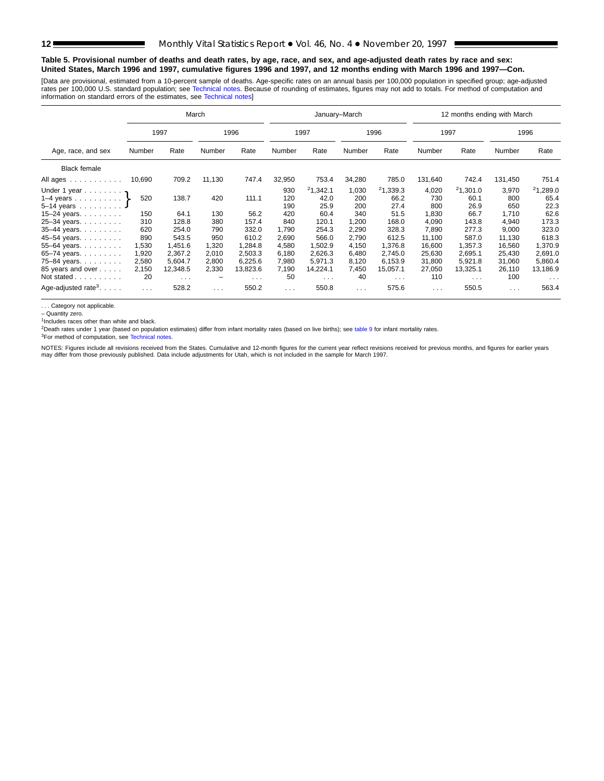### **Table 5. Provisional number of deaths and death rates, by age, race, and sex, and age-adjusted death rates by race and sex: United States, March 1996 and 1997, cumulative figures 1996 and 1997, and 12 months ending with March 1996 and 1997—Con.**

[Data are provisional, estimated from a 10-percent sample of deaths. Age-specific rates on an annual basis per 100,000 population in specified group; age-adjusted rates per 100,000 U.S. standard population; see [Technical notes. Becau](#page-16-0)se of rounding of estimates, figures may not add to totals. For method of computation and<br>information on standard errors of the estimates, see Technical

|                                                                                                                                     | March                          |                                           |                                |                                           |                                          |                                                    | January-March                                |                                                    | 12 months ending with March                    |                                                    |                                                |                                                    |  |  |
|-------------------------------------------------------------------------------------------------------------------------------------|--------------------------------|-------------------------------------------|--------------------------------|-------------------------------------------|------------------------------------------|----------------------------------------------------|----------------------------------------------|----------------------------------------------------|------------------------------------------------|----------------------------------------------------|------------------------------------------------|----------------------------------------------------|--|--|
|                                                                                                                                     | 1997                           |                                           |                                | 1996                                      |                                          | 1997                                               |                                              | 1996                                               |                                                | 1997                                               |                                                | 1996                                               |  |  |
| Age, race, and sex                                                                                                                  | Number                         | Rate                                      | Number                         | Rate                                      | Number                                   | Rate                                               | Number                                       | Rate                                               | Number                                         | Rate                                               | Number                                         | Rate                                               |  |  |
| <b>Black female</b>                                                                                                                 |                                |                                           |                                |                                           |                                          |                                                    |                                              |                                                    |                                                |                                                    |                                                |                                                    |  |  |
| All ages                                                                                                                            | 10,690                         | 709.2                                     | 11,130                         | 747.4                                     | 32,950                                   | 753.4                                              | 34,280                                       | 785.0                                              | 131,640                                        | 742.4                                              | 131,450                                        | 751.4                                              |  |  |
| Under 1 year $\gamma$<br>1–4 years $\ldots$ $\ldots$ $\cdot$<br>5-14 years<br>15–24 years. $\ldots$<br>25-34 years.<br>35-44 years. | 520<br>150<br>310<br>620       | 138.7<br>64.1<br>128.8<br>254.0           | 420<br>130<br>380<br>790       | 111.1<br>56.2<br>157.4<br>332.0           | 930<br>120<br>190<br>420<br>840<br>1,790 | 21.342.1<br>42.0<br>25.9<br>60.4<br>120.1<br>254.3 | 1,030<br>200<br>200<br>340<br>1,200<br>2,290 | 21,339.3<br>66.2<br>27.4<br>51.5<br>168.0<br>328.3 | 4,020<br>730<br>800<br>1,830<br>4.090<br>7.890 | 21,301.0<br>60.1<br>26.9<br>66.7<br>143.8<br>277.3 | 3,970<br>800<br>650<br>1,710<br>4,940<br>9,000 | 21,289.0<br>65.4<br>22.3<br>62.6<br>173.3<br>323.0 |  |  |
| 45-54 years.<br>55-64 years.<br>65-74 years.<br>75-84 years.                                                                        | 890<br>1,530<br>1,920<br>2,580 | 543.5<br>1,451.6<br>2,367.2<br>5.604.7    | 950<br>1,320<br>2,010<br>2,800 | 610.2<br>1,284.8<br>2.503.3<br>6.225.6    | 2,690<br>4,580<br>6,180<br>7,980         | 566.0<br>1,502.9<br>2,626.3<br>5.971.3             | 2,790<br>4,150<br>6,480<br>8,120             | 612.5<br>1,376.8<br>2.745.0<br>6.153.9             | 11,100<br>16,600<br>25,630<br>31,800           | 587.0<br>1,357.3<br>2,695.1<br>5.921.8             | 11,130<br>16,560<br>25,430<br>31,060           | 618.3<br>1,370.9<br>2,691.0<br>5,860.4             |  |  |
| 85 years and over<br>Not stated<br>Age-adjusted rate <sup>3</sup> . $\ldots$ .                                                      | 2,150<br>20<br>$\sim 100$      | 12,348.5<br>$\sim$ $\sim$ $\sim$<br>528.2 | 2,330<br>$\cdots$              | 13,823.6<br>$\sim$ $\sim$ $\sim$<br>550.2 | 7,190<br>50<br>$\sim 100$                | 14,224.1<br>$\sim$ $\sim$ $\sim$<br>550.8          | 7,450<br>40<br>$\sim$ $\sim$ $\sim$          | 15,057.1<br>$\sim$ $\sim$ $\sim$<br>575.6          | 27,050<br>110<br>$\sim$ $\sim$ $\sim$          | 13,325.1<br>$\sim$ $\sim$ $\sim$<br>550.5          | 26,110<br>100<br>$\sim$ $\sim$ $\sim$          | 13,186.9<br>$\sim$ $\sim$ $\sim$<br>563.4          |  |  |

. . . Category not applicable.

– Quantity zero.

 $1$ Includes races other than white and black.

<sup>2</sup>Death rates under 1 year (b[ased on population estimat](#page-16-0)es) differ from infant mortality rates (based on live births); see [table 9](#page-15-0) for infant mortality rates.

<sup>3</sup>For method of computation, see Technical notes.

NOTES: Figures include all revisions received from the States. Cumulative and 12-month figures for the current year reflect revisions received for previous months, and figures for earlier years<br>may differ from those previo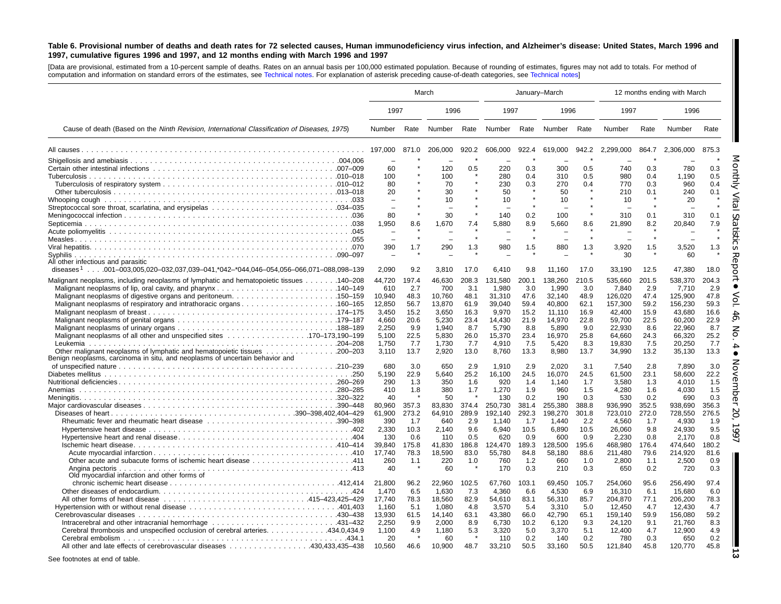### Table 6. Provisional number of deaths and death rates for 72 selected causes, Human immunodeficiency virus infection, and Alzheimer's disease: United States, March 1996 and 1997, cumulative figures 1996 and 1997, and 12 months ending with March 1996 and 1997

[Data are provisional, estimated from <sup>a</sup> 10-percent sample of deaths. Rates on an annual basis per 100,000 estimated population. Because of rounding of [estimates,](#page-16-0) figures may not add to totals. For method of computation and information on standard errors of the estimates, see [Technical](#page-16-0) notes. For explanation of asterisk preceding cause-of-death categories, see Technical notes]

|                                                                                                                                                           |                                                                                                              | March                                                                                     |                                                                                                              |                                                                                          | January-March                                                                                                            |                                                                                                         |                                                                                                                          |                                                                                                         | 12 months ending with March                                                                                                      |                                                                                                        |                                                                                                                                  |                                                                                                        |
|-----------------------------------------------------------------------------------------------------------------------------------------------------------|--------------------------------------------------------------------------------------------------------------|-------------------------------------------------------------------------------------------|--------------------------------------------------------------------------------------------------------------|------------------------------------------------------------------------------------------|--------------------------------------------------------------------------------------------------------------------------|---------------------------------------------------------------------------------------------------------|--------------------------------------------------------------------------------------------------------------------------|---------------------------------------------------------------------------------------------------------|----------------------------------------------------------------------------------------------------------------------------------|--------------------------------------------------------------------------------------------------------|----------------------------------------------------------------------------------------------------------------------------------|--------------------------------------------------------------------------------------------------------|
|                                                                                                                                                           | 1997                                                                                                         |                                                                                           | 1996                                                                                                         |                                                                                          | 1997                                                                                                                     |                                                                                                         | 1996                                                                                                                     |                                                                                                         | 1997                                                                                                                             |                                                                                                        | 1996                                                                                                                             |                                                                                                        |
| Cause of death (Based on the Ninth Revision, International Classification of Diseases, 1975)                                                              | Number                                                                                                       |                                                                                           | Rate Number Rate                                                                                             |                                                                                          | Number                                                                                                                   |                                                                                                         | Rate Number                                                                                                              | Rate                                                                                                    | Number                                                                                                                           | Rate                                                                                                   | Number                                                                                                                           | Rate                                                                                                   |
|                                                                                                                                                           | 197,000                                                                                                      | 871.0                                                                                     | 206.000                                                                                                      | 920.2                                                                                    | 606,000                                                                                                                  | 922.4                                                                                                   | 619,000                                                                                                                  | 942.2                                                                                                   | 2,299,000                                                                                                                        | 864.7                                                                                                  | 2.306.000                                                                                                                        | 875.3                                                                                                  |
| All other infectious and parasitic<br>diseases <sup>1</sup> 001–003,005,020–032,037,039–041,*042–*044,046–054,056–066,071–088,098–139                     | 60<br>100<br>80<br>20<br>80<br>1,950<br>390<br>2,090                                                         | 8.6<br>1.7<br>9.2                                                                         | 120<br>100<br>70<br>30<br>10<br>30<br>1.670<br>290<br>3,810                                                  | 0.5<br>$\star$<br>7.4<br>1.3<br>17.0                                                     | 220<br>280<br>230<br>50<br>10<br>140<br>5,880<br>980<br>6,410                                                            | 0.3<br>0.4<br>0.3<br>0.2<br>8.9<br>$\star$<br>1.5<br>9.8                                                | 300<br>310<br>270<br>50<br>10<br>100<br>5,660<br>880<br>11,160                                                           | 0.5<br>0.5<br>0.4<br>8.6<br>1.3<br>17.0                                                                 | 740<br>980<br>770<br>210<br>10<br>310<br>21,890<br>3,920<br>30<br>33,190                                                         | 0.3<br>0.4<br>0.3<br>0.1<br>0.1<br>8.2<br>1.5<br>12.5                                                  | 780<br>1.190<br>960<br>240<br>20<br>310<br>20,840<br>3,520<br>60<br>47,380                                                       | 0.3<br>0.5<br>0.4<br>0.1<br>0.1<br>7.9<br>1.3<br>18.0                                                  |
| Malignant neoplasms, including neoplasms of lymphatic and hematopoietic tissues 140–208                                                                   | 44,720<br>610<br>10.940<br>12,850<br>3.450<br>4.660<br>2,250<br>5,100<br>1.750<br>3,110                      | 197.4<br>2.7<br>48.3<br>56.7<br>15.2<br>20.6<br>9.9<br>22.5<br>7.7<br>13.7                | 46,630<br>700<br>10.760<br>13,870<br>3.650<br>5.230<br>1,940<br>5,830<br>1.730<br>2,920                      | 208.3<br>3.1<br>48.1<br>61.9<br>16.3<br>23.4<br>8.7<br>26.0<br>7.7<br>13.0               | 131,580<br>1.980<br>31.310<br>39,040<br>9.970<br>14.430<br>5,790<br>15,370<br>4.910<br>8,760                             | 200.1<br>3.0<br>47.6<br>59.4<br>15.2<br>21.9<br>8.8<br>23.4<br>7.5<br>13.3                              | 138,260<br>1.990<br>32.140<br>40,800<br>11.110<br>14,970<br>5,890<br>16,970<br>5.420<br>8,980                            | 210.5<br>3.0<br>48.9<br>62.1<br>16.9<br>22.8<br>9.0<br>25.8<br>8.3<br>13.7                              | 535,660<br>7.840<br>126.020<br>157,300<br>42.400<br>59.700<br>22,930<br>64,660<br>19.830<br>34,990                               | 201.5<br>2.9<br>47.4<br>59.2<br>15.9<br>22.5<br>8.6<br>24.3<br>7.5<br>13.2                             | 538,370<br>7.710<br>125.900<br>156,230<br>43.680<br>60.200<br>22,960<br>66,320<br>20.250<br>35,130                               | 204.3<br>2.9<br>47.8<br>59.3<br>16.6<br>22.9<br>8.7<br>25.2<br>7.7<br>13.3                             |
| Benign neoplasms, carcinoma in situ, and neoplasms of uncertain behavior and<br>Anemias<br>Old myocardial infarction and other forms of                   | 680<br>5.190<br>290<br>410<br>40<br>80,960<br>61,900<br>390<br>2,330<br>130<br>39.840<br>17,740<br>260<br>40 | 3.0<br>22.9<br>1.3<br>1.8<br>357.3<br>273.2<br>1.7<br>10.3<br>0.6<br>175.8<br>78.3<br>1.1 | 650<br>5.640<br>350<br>380<br>50<br>83,830<br>64,910<br>640<br>2,140<br>110<br>41.830<br>18,590<br>220<br>60 | 2.9<br>25.2<br>1.6<br>1.7<br>374.4<br>289.9<br>2.9<br>9.6<br>0.5<br>186.8<br>83.0<br>1.0 | 1.910<br>16.100<br>920<br>1,270<br>130<br>250,730<br>192.140<br>1.140<br>6,940<br>620<br>124.470<br>55,780<br>760<br>170 | 2.9<br>24.5<br>1.4<br>1.9<br>0.2<br>381.4<br>292.3<br>1.7<br>10.5<br>0.9<br>189.3<br>84.8<br>1.2<br>0.3 | 2.020<br>16.070<br>1,140<br>960<br>190<br>255,380<br>198,270<br>1.440<br>6,890<br>600<br>128,500<br>58,180<br>660<br>210 | 3.1<br>24.5<br>1.7<br>1.5<br>0.3<br>388.8<br>301.8<br>2.2<br>10.5<br>0.9<br>195.6<br>88.6<br>1.0<br>0.3 | 7.540<br>61,500<br>3,580<br>4,280<br>530<br>936,990<br>723,010<br>4.560<br>26,060<br>2,230<br>468.980<br>211,480<br>2,800<br>650 | 2.8<br>23.1<br>1.3<br>1.6<br>0.2<br>352.5<br>272.0<br>1.7<br>9.8<br>0.8<br>176.4<br>79.6<br>1.1<br>0.2 | 7.890<br>58.600<br>4,010<br>4,030<br>690<br>938,690<br>728,550<br>4.930<br>24,930<br>2.170<br>474.640<br>214,920<br>2,500<br>720 | 3.0<br>22.2<br>1.5<br>1.5<br>0.3<br>356.3<br>276.5<br>1.9<br>9.5<br>0.8<br>180.2<br>81.6<br>0.9<br>0.3 |
| Cerebral thrombosis and unspecified occlusion of cerebral arteries. 434.0,434.9<br>All other and late effects of cerebrovascular diseases 430,433,435–438 | 21,800<br>1,470<br>17,740<br>1,160<br>13,930<br>2,250<br>1,100<br>20<br>10.560                               | 96.2<br>6.5<br>78.3<br>5.1<br>61.5<br>9.9<br>4.9<br>46.6                                  | 22,960<br>1,630<br>18,560<br>1,080<br>14,140<br>2,000<br>1,180<br>60<br>10.900                               | 102.5<br>7.3<br>82.9<br>4.8<br>63.1<br>8.9<br>5.3<br>48.7                                | 67,760<br>4,360<br>54,610<br>3,570<br>43,380<br>6,730<br>3,320<br>110<br>33,210                                          | 103.1<br>6.6<br>83.1<br>5.4<br>66.0<br>10.2<br>5.0<br>0.2<br>50.5                                       | 69,450<br>4,530<br>56,310<br>3,310<br>42,790<br>6,120<br>3,370<br>140<br>33,160                                          | 105.7<br>6.9<br>85.7<br>5.0<br>65.1<br>9.3<br>5.1<br>0.2<br>50.5                                        | 254,060<br>16,310<br>204,870<br>12,450<br>159,140<br>24,120<br>12,400<br>780<br>121,840                                          | 95.6<br>6.1<br>77.1<br>4.7<br>59.9<br>9.1<br>4.7<br>0.3<br>45.8                                        | 256,490<br>15,680<br>206,200<br>12,430<br>156,080<br>21,760<br>12,900<br>650<br>120,770                                          | 97.4<br>6.0<br>78.3<br>4.7<br>59.2<br>8.3<br>4.9<br>0.2<br>45.8                                        |

See footnotes at end of table.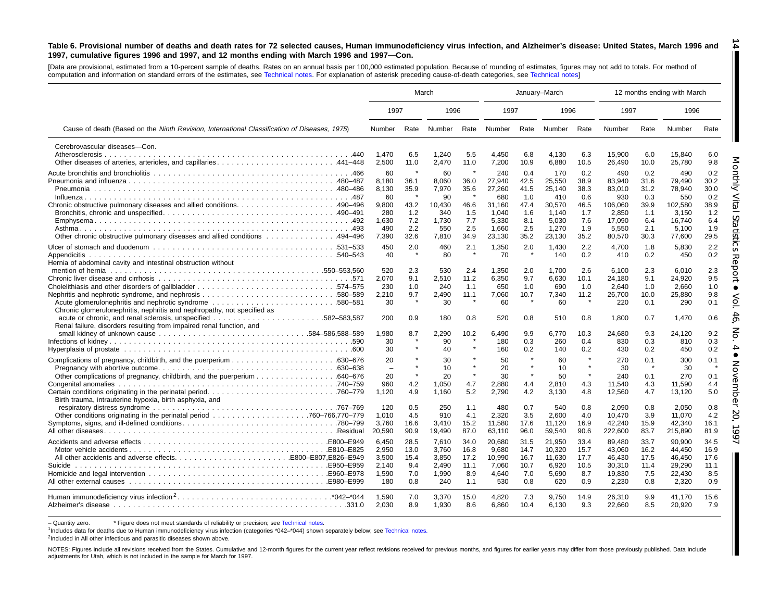#### <span id="page-13-0"></span>Table 6. Provisional number of deaths and death rates for 72 selected causes, Human immunodeficiency virus infection, and Alzheimer's disease: United States, March 1996 and 1997, cumulative figures 1996 and 1997, and 12 months ending with March 1996 and 1997-Con. **14**

[Data are provisional, estimated from <sup>a</sup> 10-percent sample of deaths. Rates on an annual basis per 100,000 estimated population. Because of rounding of [estimates,](#page-16-0) figures may not add to totals. For method of computation and information on standard errors of the estimates, see [Technical](#page-16-0) notes. For explanation of asterisk preceding cause-of-death categories, see Technical notes]

|                                                                                                                                     | March                                                                |                                                   |                                                                      |                                                   | January-March                                                                 |                                                                 |                                                                               |                                                                 |                                                                                 |                                                                 | 12 months ending with March                                                     |                                                                 |
|-------------------------------------------------------------------------------------------------------------------------------------|----------------------------------------------------------------------|---------------------------------------------------|----------------------------------------------------------------------|---------------------------------------------------|-------------------------------------------------------------------------------|-----------------------------------------------------------------|-------------------------------------------------------------------------------|-----------------------------------------------------------------|---------------------------------------------------------------------------------|-----------------------------------------------------------------|---------------------------------------------------------------------------------|-----------------------------------------------------------------|
|                                                                                                                                     | 1997                                                                 |                                                   | 1996                                                                 |                                                   | 1997                                                                          |                                                                 | 1996                                                                          |                                                                 | 1997                                                                            |                                                                 | 1996                                                                            |                                                                 |
| Cause of death (Based on the Ninth Revision, International Classification of Diseases, 1975)                                        | Number                                                               | Rate                                              | Number                                                               | Rate                                              | Number                                                                        |                                                                 | Rate Number                                                                   | Rate                                                            | Number                                                                          | Rate                                                            | Number                                                                          | Rate                                                            |
| Cerebrovascular diseases-Con.                                                                                                       | 1.470<br>2,500                                                       | 6.5<br>11.0                                       | 1.240<br>2,470                                                       | 5.5<br>11.0                                       | 4.450<br>7,200                                                                | 6.8<br>10.9                                                     | 4,130<br>6,880                                                                | 6.3<br>10.5                                                     | 15.900<br>26,490                                                                | 6.0<br>10.0                                                     | 15,840<br>25,780                                                                | 6.0<br>9.8                                                      |
| Other chronic obstructive pulmonary diseases and allied conditions 494-496                                                          | 60<br>8,180<br>8,130<br>-60<br>9,800<br>280<br>1,630<br>490<br>7.390 | 36.1<br>35.9<br>43.2<br>1.2<br>7.2<br>2.2<br>32.6 | 60<br>8,060<br>7,970<br>90<br>10.430<br>340<br>1.730<br>550<br>7.810 | 36.0<br>35.6<br>46.6<br>1.5<br>7.7<br>2.5<br>34.9 | 240<br>27,940<br>27,260<br>680<br>31.160<br>1,040<br>5,330<br>1,660<br>23.130 | 0.4<br>42.5<br>41.5<br>1.0<br>47.4<br>1.6<br>8.1<br>2.5<br>35.2 | 170<br>25,550<br>25,140<br>410<br>30,570<br>1.140<br>5.030<br>1,270<br>23.130 | 0.2<br>38.9<br>38.3<br>0.6<br>46.5<br>1.7<br>7.6<br>1.9<br>35.2 | 490<br>83,940<br>83,010<br>930<br>106.060<br>2,850<br>17.090<br>5,550<br>80,570 | 0.2<br>31.6<br>31.2<br>0.3<br>39.9<br>1.1<br>6.4<br>2.1<br>30.3 | 490<br>79,490<br>78,940<br>550<br>102.580<br>3.150<br>16.740<br>5,100<br>77.600 | 0.2<br>30.2<br>30.0<br>0.2<br>38.9<br>1.2<br>6.4<br>1.9<br>29.5 |
| Hernia of abdominal cavity and intestinal obstruction without                                                                       | 450<br>40                                                            | 2.0                                               | 460<br>80                                                            | 2.1                                               | 1,350<br>70                                                                   | 2.0                                                             | 1,430<br>140                                                                  | 2.2<br>0.2                                                      | 4,700<br>410                                                                    | 1.8<br>0.2                                                      | 5.830<br>450                                                                    | 2.2<br>0.2                                                      |
| Cholelithiasis and other disorders of gallbladder574-575<br>Chronic glomerulonephritis, nephritis and nephropathy, not specified as | 520<br>2,070<br>230<br>2,210<br>30                                   | 2.3<br>9.1<br>1.0<br>9.7<br>$\pmb{\ast}$          | 530<br>2,510<br>240<br>2,490<br>30                                   | 2.4<br>11.2<br>1.1<br>11.1                        | 1,350<br>6,350<br>650<br>7,060<br>60                                          | 2.0<br>9.7<br>1.0<br>10.7<br>$\star$                            | 1,700<br>6,630<br>690<br>7,340<br>60                                          | 2.6<br>10.1<br>1.0<br>11.2<br>$\star$                           | 6.100<br>24.180<br>2,640<br>26.700<br>220                                       | 2.3<br>9.1<br>1.0<br>10.0<br>0.1                                | 6,010<br>24,920<br>2,660<br>25,880<br>290                                       | 2.3<br>9.5<br>1.0<br>9.8<br>0.1                                 |
| .582–583.587<br>Renal failure, disorders resulting from impaired renal function, and                                                | 200<br>1,980<br>30<br>30                                             | 0.9<br>8.7                                        | 180<br>2,290<br>90<br>40                                             | 0.8<br>10.2                                       | 520<br>6,490<br>180<br>160                                                    | 0.8<br>9.9<br>0.3<br>0.2                                        | 510<br>6,770<br>260<br>140                                                    | 0.8<br>10.3<br>0.4<br>0.2                                       | 1.800<br>24,680<br>830<br>430                                                   | 0.7<br>9.3<br>0.3<br>0.2                                        | 1.470<br>24,120<br>810<br>450                                                   | 0.6<br>9.2<br>0.3<br>0.2                                        |
|                                                                                                                                     | 20<br>$\sim$<br>20<br>960<br>1.120                                   | $\star$<br>4.2<br>4.9                             | 30<br>10<br>20<br>1.050<br>1.160                                     | $\star$<br>$\star$<br>4.7<br>5.2                  | 50<br>20<br>30<br>2,880<br>2,790                                              | $\star$<br>$\star$<br>$\star$<br>4.4<br>4.2                     | 60<br>10<br>50<br>2,810<br>3.130                                              | $\star$<br>$\star$<br>$\star$<br>4.3<br>4.8                     | 270<br>30<br>240<br>11.540<br>12,560                                            | 0.1<br>0.1<br>4.3<br>4.7                                        | 300<br>30<br>270<br>11.590<br>13,120                                            | 0.1<br>0.1<br>4.4<br>5.0                                        |
| Birth trauma, intrauterine hypoxia, birth asphyxia, and                                                                             | 120<br>1,010<br>3,760<br>20,590                                      | 0.5<br>4.5<br>16.6<br>90.9                        | 250<br>910<br>3,410<br>19,490                                        | 1.1<br>4.1<br>15.2<br>87.0                        | 480<br>2,320<br>11,580<br>63,110                                              | 0.7<br>3.5<br>17.6<br>96.0                                      | 540<br>2.600<br>11,120<br>59,540                                              | 0.8<br>4.0<br>16.9<br>90.6                                      | 2,090<br>10.470<br>42,240<br>222,600                                            | 0.8<br>3.9<br>15.9<br>83.7                                      | 2,050<br>11.070<br>42,340<br>215,890                                            | 0.8<br>4.2<br>16.1<br>81.9                                      |
|                                                                                                                                     | 6.450<br>2,950<br>3,500<br>2,140<br>1.590<br>180                     | 28.5<br>13.0<br>15.4<br>9.4<br>7.0<br>0.8         | 7,610<br>3,760<br>3,850<br>2,490<br>1.990<br>240                     | 34.0<br>16.8<br>17.2<br>11.1<br>8.9<br>1.1        | 20,680<br>9.680<br>10,990<br>7,060<br>4.640<br>530                            | 31.5<br>14.7<br>16.7<br>10.7<br>7.0<br>0.8                      | 21,950<br>10,320<br>11,630<br>6,920<br>5.690<br>620                           | 33.4<br>15.7<br>17.7<br>10.5<br>8.7<br>0.9                      | 89,480<br>43.060<br>46,430<br>30,310<br>19.830<br>2,230                         | 33.7<br>16.2<br>17.5<br>11.4<br>7.5<br>0.8                      | 90,900<br>44,450<br>46,450<br>29,290<br>22,430<br>2,320                         | 34.5<br>16.9<br>17.6<br>11.1<br>8.5<br>0.9                      |
|                                                                                                                                     | 1,590<br>2,030                                                       | 7.0<br>8.9                                        | 3,370<br>1,930                                                       | 15.0<br>8.6                                       | 4,820<br>6,860                                                                | 7.3<br>10.4                                                     | 9,750<br>6.130                                                                | 14.9<br>9.3                                                     | 26,310<br>22,660                                                                | 9.9<br>8.5                                                      | 41,170<br>20,920                                                                | 15.6<br>7.9                                                     |

– Quantity zero. \* Figure does not meet standards of reliability or precision; see Technical notes.

1Includes data for deaths due to Human immunodeficiency virus infection (categories [\\*042–\\*044\)](#page-16-0) shown separately below; see [Technical](#page-16-0) notes.

<sup>2</sup>Included in All other infectious and parasitic diseases shown above.

NOTES: Figures include all revisions received from the States. Cumulative and 12-month figures for the current year reflect revisions received for previous months, and figures for earlier years may differ from those previo adjustments for Utah, which is not included in the sample for March for 1997.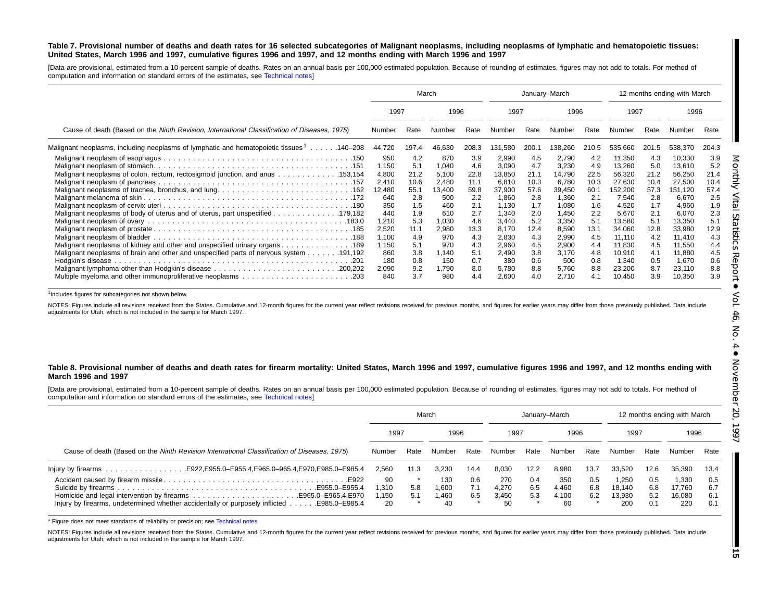### Table 7. Provisional number of deaths and death rates for 16 selected subcategories of Malignant neoplasms, including neoplasms of lymphatic and hematopoietic tissues: United States, March 1996 and 1997, cumulative figures 1996 and 1997, and 12 months ending with March 1996 and 1997

[Data are provisional, estimated from <sup>a</sup> 10-percent sample of deaths. Rates on an annual basis per 100,000 estimated population. Because of rounding of estimates, figures may not add to totals. For method of computation and information on standard errors of the estimates, see [Technical](#page-16-0) notes]

|                                                                                                      |                                                                       | March                                                        | January-March                                                       |                                                              |                                                                             |                                                              |                                                                             |                                                              | 12 months ending with March                                                          |                                                              |                                                                                      |                                                              |
|------------------------------------------------------------------------------------------------------|-----------------------------------------------------------------------|--------------------------------------------------------------|---------------------------------------------------------------------|--------------------------------------------------------------|-----------------------------------------------------------------------------|--------------------------------------------------------------|-----------------------------------------------------------------------------|--------------------------------------------------------------|--------------------------------------------------------------------------------------|--------------------------------------------------------------|--------------------------------------------------------------------------------------|--------------------------------------------------------------|
|                                                                                                      | 1997                                                                  |                                                              | 1996                                                                |                                                              | 1997                                                                        |                                                              | 1996                                                                        |                                                              | 1997                                                                                 |                                                              | 1996                                                                                 |                                                              |
| Cause of death (Based on the Ninth Revision, International Classification of Diseases, 1975)         | Number                                                                | Rate                                                         |                                                                     | Rate                                                         | Number                                                                      | Rate                                                         | Number                                                                      | Rate                                                         | Number                                                                               | Rate                                                         | Number                                                                               | Rate                                                         |
| Malignant neoplasms, including neoplasms of lymphatic and hematopoietic tissues <sup>1</sup> 140–208 | 44,720                                                                | 197.4                                                        | 46,630                                                              | 208.3                                                        | 131,580                                                                     | 200.1                                                        | 138,260                                                                     | 210.5                                                        | 535,660                                                                              | 201.5                                                        | 538,370                                                                              | 204.3                                                        |
| Malignant neoplasms of colon, rectum, rectosigmoid junction, and anus 153,154                        | 950<br>1.150<br>4,800<br>2,410<br>12,480<br>640<br>350                | 4.2<br>5.1<br>21.2<br>10.6<br>55.1<br>2.8<br>1.5             | 870<br>1,040<br>5,100<br>2,480<br>13,400<br>500<br>460              | 3.9<br>4.6<br>22.8<br>11.1<br>59.8<br>2.2<br>2.1             | 2,990<br>3,090<br>13,850<br>6,810<br>37,900<br>1,860<br>1,130               | 4.5<br>4.7<br>21.1<br>10.3<br>57.6<br>2.8<br>1.7             | 2,790<br>3,230<br>14,790<br>6,780<br>39,450<br>1,360<br>1,080               | 4.2<br>4.9<br>22.5<br>10.3<br>60.1<br>2.1<br>1.6             | 11,350<br>13,260<br>56,320<br>27,630<br>152,200<br>7,540<br>4,520                    | 4.3<br>5.0<br>21.2<br>10.4<br>57.3<br>2.8<br>1.7             | 10,330<br>13,610<br>56,250<br>27,500<br>151,120<br>6,670<br>4,960                    | 3.9<br>5.2<br>21.4<br>10.4<br>57.4<br>2.5<br>1.9             |
| Malignant neoplasms of kidney and other and unspecified urinary organs 189                           | 440<br>1,210<br>2,520<br>1,100<br>1,150<br>860<br>180<br>2,090<br>840 | 1.9<br>5.3<br>11.1<br>4.9<br>5.1<br>3.8<br>0.8<br>9.2<br>3.7 | 610<br>1,030<br>2,980<br>970<br>970<br>1,140<br>150<br>1,790<br>980 | 2.7<br>4.6<br>13.3<br>4.3<br>4.3<br>5.1<br>0.7<br>8.0<br>4.4 | 1,340<br>3,440<br>8,170<br>2,830<br>2,960<br>2,490<br>380<br>5,780<br>2,600 | 2.0<br>5.2<br>12.4<br>4.3<br>4.5<br>3.8<br>0.6<br>8.8<br>4.0 | 1,450<br>3,350<br>8,590<br>2,990<br>2,900<br>3,170<br>500<br>5,760<br>2,710 | 2.2<br>5.1<br>13.1<br>4.5<br>4.4<br>4.8<br>0.8<br>8.8<br>4.1 | 5,670<br>13,580<br>34,060<br>11,110<br>11,830<br>10,910<br>1,340<br>23,200<br>10,450 | 2.1<br>5.1<br>12.8<br>4.2<br>4.5<br>4.1<br>0.5<br>8.7<br>3.9 | 6,070<br>13,350<br>33,980<br>11,410<br>11,550<br>11,880<br>1,670<br>23,110<br>10,350 | 2.3<br>5.1<br>12.9<br>4.3<br>4.4<br>4.5<br>0.6<br>8.8<br>3.9 |

<sup>1</sup>Includes figures for subcategories not shown below.

NOTES: Figures include all revisions received from the States. Cumulative and 12-month figures for the current year reflect revisions received for previous months, and figures for earlier years may differ from those previo adjustments for Utah, which is not included in the sample for March 1997.

### Table 8. Provisional number of deaths and death rates for firearm mortality: United States, March 1996 and 1997, cumulative figures 1996 and 1997, and 12 months ending with **March 1996 and 1997**

[Data are provisional, estimated from <sup>a</sup> 10-percent sample of deaths. Rates on an annual basis per 100,000 estimated population. Because of rounding of estimates, figures may not add to totals. For method of computation and information on standard errors of the estimates, see [Technical](#page-16-0) notes]

|                                                                                               | March  |      |        |      |        | January-March |        |      | 12 months ending with March |      |        |      |
|-----------------------------------------------------------------------------------------------|--------|------|--------|------|--------|---------------|--------|------|-----------------------------|------|--------|------|
|                                                                                               | 1997   |      | 1996   |      | 1997   |               | 1996   |      | 1997                        |      | 1996   |      |
| Cause of death (Based on the Ninth Revision International Classification of Diseases, 1975)   | Number | Rate | Number | Rate | Number | Rate          | Number | Rate | Number                      | Rate | Number | Rate |
| lnjury by firearms E922,E955.0-E955.4,E965.0-965.4,E970,E985.0-E985.4                         | 2.560  | 11.3 | 3.230  | 14.4 | 8,030  | 12.2          | 8.980  | 13.7 | 33.520                      | 12.6 | 35.390 | 13.4 |
|                                                                                               | 90     |      | 130    | 0.6  | 270    | 0.4           | 350    | 0.5  | 1.250                       | 0.5  | 1,330  | 0.5  |
| E955.0-E955.4                                                                                 | 1.310  | 5.8  | 1,600  | 7.1  | 4,270  | 6.5           | 4.460  | 6.8  | 18.140                      | 6.8  | 17,760 | 6.7  |
|                                                                                               | .150   | 5.1  | 1.460  | 6.5  | 3.450  | 5.3           | 4.100  | 6.2  | 13.930                      | 5.2  | 16.080 | 6.1  |
| lnjury by firearms, undetermined whether accidentally or purposely inflicted<br>E985.0-E985.4 | 20     |      | 40     |      | 50     |               | 60     |      | 200                         | 0.1  | 220    | 0.1  |

\* Figure does not meet standards of reliability or precision; see [Technical](#page-16-0) notes.

NOTES: Figures include all revisions received from the States. Cumulative and 12-month figures for the current year reflect revisions received for previous months, and figures for earlier years may differ from those previo adjustments for Utah, which is not included in the sample for March 1997.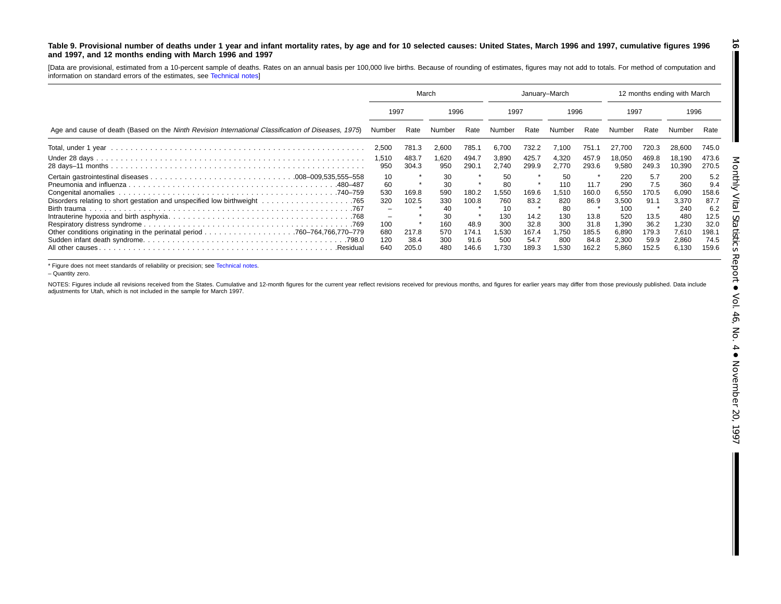### <span id="page-15-0"></span>Table 9. Provisional number of deaths under 1 year and infant mortality rates, by age and for 10 selected causes: United States, March 1996 and 1997, cumulative figures 1996 **and 1997, and 12 months ending with March 1996 and 1997**

[Data are provisional, estimated from <sup>a</sup> 10-percent sample of deaths. Rates on an annual basis per 100,000 live births. Because of rounding of estimates, figures may not add to totals. For method of computation and information on standard errors of the estimates, see [Technical](#page-16-0) notes]

|                                                                                                     | March                    |                        |                          |                                | January-March                |                                |                              |                                | 12 months ending with March      |                                |                                  |                                |
|-----------------------------------------------------------------------------------------------------|--------------------------|------------------------|--------------------------|--------------------------------|------------------------------|--------------------------------|------------------------------|--------------------------------|----------------------------------|--------------------------------|----------------------------------|--------------------------------|
|                                                                                                     | 1996<br>1997             |                        |                          | 1997                           |                              | 1996                           |                              | 1997                           |                                  | 1996                           |                                  |                                |
| Age and cause of death (Based on the Ninth Revision International Classification of Diseases, 1975) | Number                   | Rate                   | Number                   | Rate                           | Number                       | Rate                           | Number                       | Rate                           | Number                           | Rate                           | Number                           | Rate                           |
|                                                                                                     | 2,500                    | 781.3                  | 2,600                    | 785.1                          | 6,700                        | 732.2                          | 7,100                        | 751.1                          | 27.700                           | 720.3                          | 28,600                           | 745.0                          |
|                                                                                                     | 1,510<br>950             | 483.7<br>304.3         | .620<br>950              | 494.7<br>290.1                 | 3,890<br>2.740               | 425.7<br>299.9                 | 4,320<br>2.770               | 457.9<br>293.6                 | 18.050<br>9,580                  | 469.8<br>249.3                 | 18.190<br>10,390                 | 473.6<br>270.5                 |
| .480–487                                                                                            | 10<br>60<br>530          | 169.8                  | 30<br>30<br>590          | 180.2                          | 50<br>80<br>1,550            | 169.6                          | 50<br>110<br>1,510           | 11.7<br>160.0                  | 220<br>290<br>6,550              | 5.7<br>7.5<br>170.5            | 200<br>360<br>6,090              | 5.2<br>9.4<br>158.6            |
|                                                                                                     | 320<br>-<br>-            | 102.5                  | 330<br>40<br>30          | 100.8                          | 760<br>10<br>130             | 83.2<br>14.2                   | 820<br>80<br>130             | 86.9<br>13.8                   | 3,500<br>100<br>520              | 91.1<br>13.5                   | 3,370<br>240<br>480              | 87.7<br>6.2<br>12.5            |
| All other causes.<br>.Residual                                                                      | 100<br>680<br>120<br>640 | 217.8<br>38.4<br>205.0 | 160<br>570<br>300<br>480 | 48.9<br>174.1<br>91.6<br>146.6 | 300<br>530, ا<br>500<br>.730 | 32.8<br>167.4<br>54.7<br>189.3 | 300<br>1,750<br>800<br>1,530 | 31.8<br>185.5<br>84.8<br>162.2 | 1.390<br>6,890<br>2,300<br>5.860 | 36.2<br>179.3<br>59.9<br>152.5 | 1,230<br>7,610<br>2,860<br>6,130 | 32.0<br>198.1<br>74.5<br>159.6 |

\* Figure does not meet standards of reliability or precision; see [Technical](#page-16-0) notes.

– Quantity zero.

NOTES: Figures include all revisions received from the States. Cumulative and 12-month figures for the current year reflect revisions received for previous months, and figures for earlier years may differ from those previo adjustments for Utah, which is not included in the sample for March 1997.

**16** H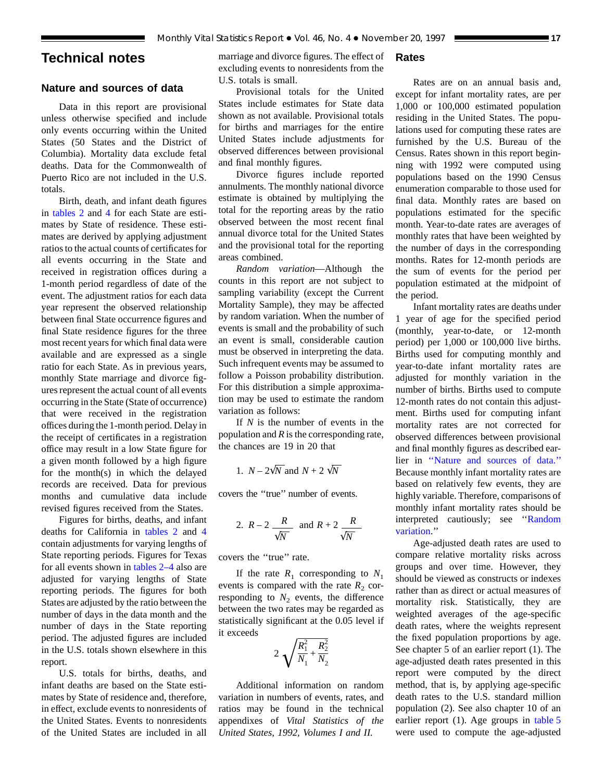# <span id="page-16-0"></span>**Technical notes**

# **Nature and sources of data**

Data in this report are provisional unless otherwise specified and include only events occurring within the United States (50 States and the District of Columbia). Mortality data exclude fetal deaths. Data for the Commonwealth of Puerto Rico are not included in the U.S. totals.

Birth, death, and infant death figures in [tables 2](#page-6-0) and 4 for each State are estimates by Stat[e](#page-8-0) [of](#page-8-0) [r](#page-8-0)esidence. These estimates are derived by applying adjustment ratios to the actual counts of certificates for all events occurring in the State and received in registration offices during a 1-month period regardless of date of the event. The adjustment ratios for each data year represent the observed relationship between final State occurrence figures and final State residence figures for the three most recent years for which final data were available and are expressed as a single ratio for each State. As in previous years, monthly State marriage and divorce figures represent the actual count of all events occurring in the State (State of occurrence) that were received in the registration offices during the 1-month period. Delay in the receipt of certificates in a registration office may result in a low State figure for a given month followed by a high figure for the month(s) in which the delayed records are received. Data for previous months and cumulative data include revised figures received from the States.

Figures for births, deaths, and infant deaths for California in [tables 2](#page-6-0) and 4 contain adjustments for varying lengths [of](#page-8-0) State reporting periods. Figures for Texas for all events shown in [tables 2–4](#page-6-0) also are adjusted for varying lengths of State reporting periods. The figures for both States are adjusted by the ratio between the number of days in the data month and the number of days in the State reporting period. The adjusted figures are included in the U.S. totals shown elsewhere in this report.

U.S. totals for births, deaths, and infant deaths are based on the State estimates by State of residence and, therefore, in effect, exclude events to nonresidents of the United States. Events to nonresidents of the United States are included in all

marriage and divorce figures. The effect of excluding events to nonresidents from the U.S. totals is small.

# Provisional totals for the United States include estimates for State data shown as not available. Provisional totals for births and marriages for the entire United States include adjustments for observed differences between provisional and final monthly figures.

Divorce figures include reported annulments. The monthly national divorce estimate is obtained by multiplying the total for the reporting areas by the ratio observed between the most recent final annual divorce total for the United States and the provisional total for the reporting areas combined.

*Random variation*—Although the counts in this report are not subject to sampling variability (except the Current Mortality Sample), they may be affected by random variation. When the number of events is small and the probability of such an event is small, considerable caution must be observed in interpreting the data. Such infrequent events may be assumed to follow a Poisson probability distribution. For this distribution a simple approximation may be used to estimate the random variation as follows:

If *N* is the number of events in the population and *R* is the corresponding rate, the chances are 19 in 20 that

1. 
$$
N - 2\sqrt{N}
$$
 and  $N + 2\sqrt{N}$ 

covers the ''true'' number of events.

2. 
$$
R-2
$$
  $\frac{R}{\sqrt{N}}$  and  $R+2$   $\frac{R}{\sqrt{N}}$ 

covers the ''true'' rate.

If the rate  $R_1$  corresponding to  $N_1$ events is compared with the rate  $R_2$  corresponding to  $N_2$  events, the difference between the two rates may be regarded as statistically significant at the 0.05 level if it exceeds

$$
2\sqrt{\frac{R_1^2}{N_1} + \frac{R_2^2}{N_2}}
$$

Additional information on random variation in numbers of events, rates, and ratios may be found in the technical appendixes of *Vital Statistics of the United States, 1992, Volumes I and II.*

# **Rates**

Rates are on an annual basis and, except for infant mortality rates, are per 1,000 or 100,000 estimated population residing in the United States. The populations used for computing these rates are furnished by the U.S. Bureau of the Census. Rates shown in this report beginning with 1992 were computed using populations based on the 1990 Census enumeration comparable to those used for final data. Monthly rates are based on populations estimated for the specific month. Year-to-date rates are averages of monthly rates that have been weighted by the number of days in the corresponding months. Rates for 12-month periods are the sum of events for the period per population estimated at the midpoint of the period.

Infant mortality rates are deaths under 1 year of age for the specified period (monthly, year-to-date, or 12-month period) per 1,000 or 100,000 live births. Births used for computing monthly and year-to-date infant mortality rates are adjusted for monthly variation in the number of births. Births used to compute 12-month rates do not contain this adjustment. Births used for computing infant mortality rates are not corrected for observed differences between provisional and final monthly figures as described earlier in ''Nature and sources of data.'' Because monthly infant mortality rates are based on relatively few events, they are highly variable. Therefore, comparisons of monthly infant mortality rates should be interpreted cautiously; see ''Random variation.''

Age-adjusted death rates are used to compare relative mortality risks across groups and over time. However, they should be viewed as constructs or indexes rather than as direct or actual measures of mortality risk. Statistically, they are weighted averages of the age-specific death rates, where the weights represent the fixed population proportions by age. See chapter 5 of an earlier report (1). The age-adjusted death rates presented in this report were computed by the direct method, that is, by applying age-specific death rates to the U.S. standard million population (2). See also chapter 10 of an earlier report (1). Age groups in [table 5](#page-10-0) were used to compute the age-adjusted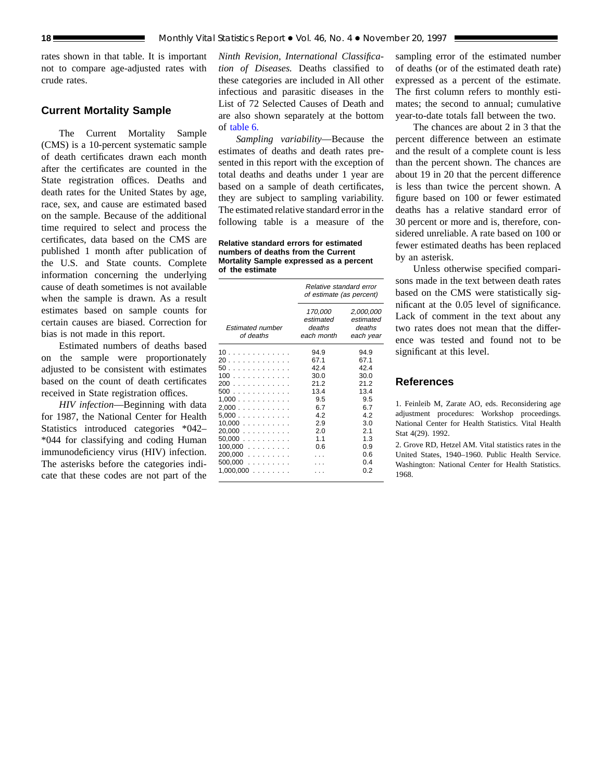rates shown in that table. It is important not to compare age-adjusted rates with crude rates.

# **Current Mortality Sample**

The Current Mortality Sample (CMS) is a 10-percent systematic sample of death certificates drawn each month after the certificates are counted in the State registration offices. Deaths and death rates for the United States by age, race, sex, and cause are estimated based on the sample. Because of the additional time required to select and process the certificates, data based on the CMS are published 1 month after publication of the U.S. and State counts. Complete information concerning the underlying cause of death sometimes is not available when the sample is drawn. As a result estimates based on sample counts for certain causes are biased. Correction for bias is not made in this report.

Estimated numbers of deaths based on the sample were proportionately adjusted to be consistent with estimates based on the count of death certificates received in State registration offices.

*HIV infection*—Beginning with data for 1987, the National Center for Health Statistics introduced categories \*042– \*044 for classifying and coding Human immunodeficiency virus (HIV) infection. The asterisks before the categories indicate that these codes are not part of the

*Ninth Revision, International Classification of Diseases.* Deaths classified to these categories are included in All other infectious and parasitic diseases in the List of 72 Selected Causes of Death and are also shown separately at the bottom of [table 6.](#page-13-0)

*Sampling variability*—Because the estimates of deaths and death rates presented in this report with the exception of total deaths and deaths under 1 year are based on a sample of death certificates, they are subject to sampling variability. The estimated relative standard error in the following table is a measure of the

**Relative standard errors for estimated numbers of deaths from the Current Mortality Sample expressed as a percent of the estimate**

|                                                                                                                        | Relative standard error<br>of estimate (as percent)                                           |                                                                                                      |  |  |  |
|------------------------------------------------------------------------------------------------------------------------|-----------------------------------------------------------------------------------------------|------------------------------------------------------------------------------------------------------|--|--|--|
| <b>Estimated number</b><br>of deaths                                                                                   | 170,000<br>estimated<br>deaths<br>each month                                                  | 2,000,000<br>estimated<br>deaths<br>each year                                                        |  |  |  |
| 10<br>20<br>50<br>100<br>200<br>500<br>1,000<br>2,000<br>5,000<br>10,000<br>20.000<br>50,000<br>$100,000$<br>$200,000$ | 94.9<br>67.1<br>42.4<br>30.0<br>21.2<br>13.4<br>9.5<br>6.7<br>4.2<br>2.9<br>2.0<br>1.1<br>0.6 | 94.9<br>67.1<br>42.4<br>30.0<br>21.2<br>13.4<br>9.5<br>6.7<br>4.2<br>3.0<br>2.1<br>1.3<br>0.9<br>0.6 |  |  |  |
| 500,000<br>$1,000,000$                                                                                                 |                                                                                               | 0.4<br>0.2                                                                                           |  |  |  |

sampling error of the estimated number of deaths (or of the estimated death rate) expressed as a percent of the estimate. The first column refers to monthly estimates; the second to annual; cumulative year-to-date totals fall between the two.

The chances are about 2 in 3 that the percent difference between an estimate and the result of a complete count is less than the percent shown. The chances are about 19 in 20 that the percent difference is less than twice the percent shown. A figure based on 100 or fewer estimated deaths has a relative standard error of 30 percent or more and is, therefore, considered unreliable. A rate based on 100 or fewer estimated deaths has been replaced by an asterisk.

Unless otherwise specified comparisons made in the text between death rates based on the CMS were statistically significant at the 0.05 level of significance. Lack of comment in the text about any two rates does not mean that the difference was tested and found not to be significant at this level.

# **References**

1. Feinleib M, Zarate AO, eds. Reconsidering age adjustment procedures: Workshop proceedings. National Center for Health Statistics. Vital Health Stat 4(29). 1992.

2. Grove RD, Hetzel AM. Vital statistics rates in the United States, 1940–1960. Public Health Service. Washington: National Center for Health Statistics. 1968.